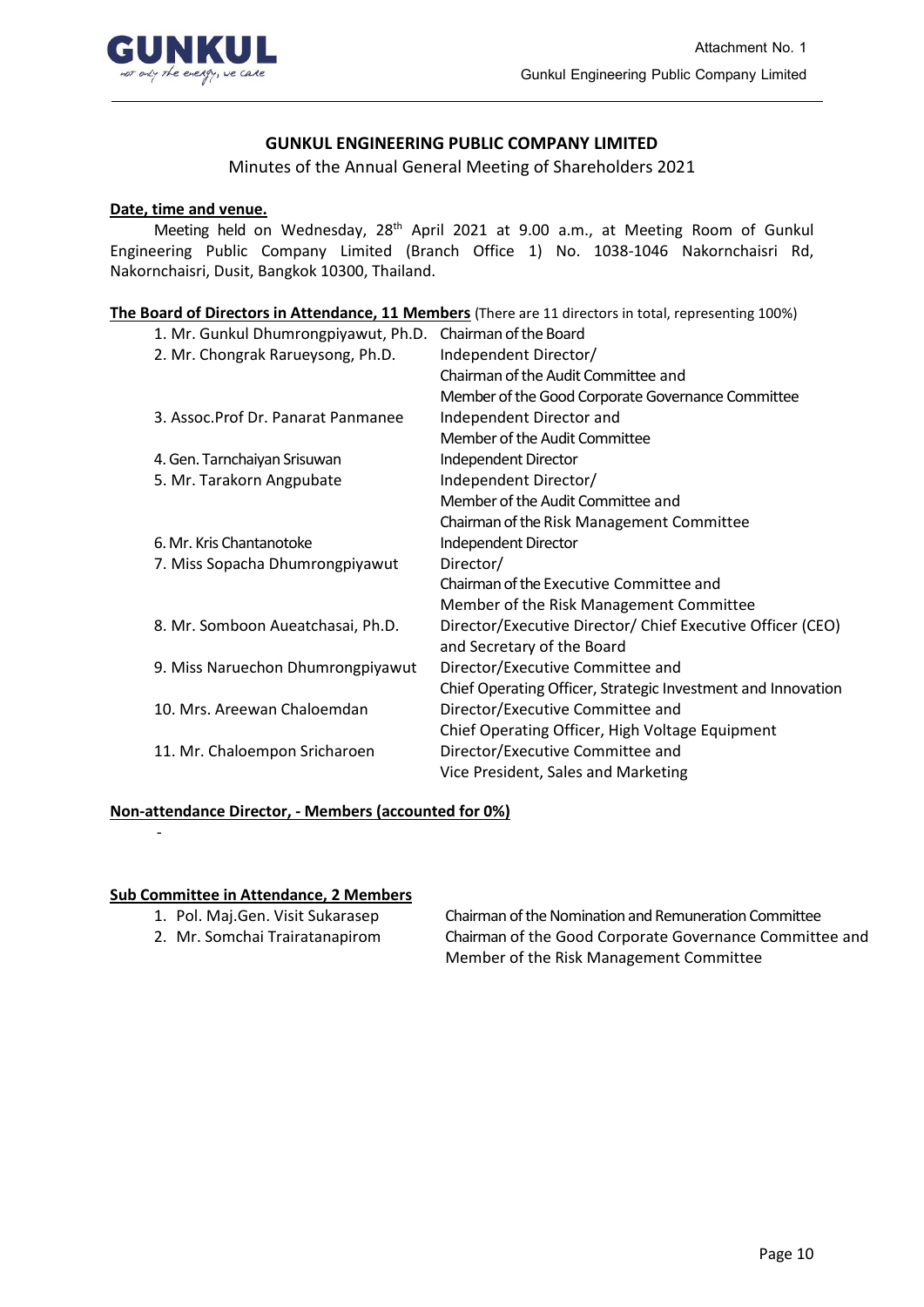

## **GUNKUL ENGINEERING PUBLIC COMPANY LIMITED**

Minutes of the Annual General Meeting of Shareholders 2021

### **Date, time and venue.**

Meeting held on Wednesday, 28<sup>th</sup> April 2021 at 9.00 a.m., at Meeting Room of Gunkul Engineering Public Company Limited (Branch Office 1) No. 1038-1046 Nakornchaisri Rd, Nakornchaisri, Dusit, Bangkok 10300, Thailand.

**The Board of Directors in Attendance, 11 Members** (There are 11 directors in total, representing 100%)

| 1. Mr. Gunkul Dhumrongpiyawut, Ph.D. | Chairman of the Board                                        |
|--------------------------------------|--------------------------------------------------------------|
| 2. Mr. Chongrak Rarueysong, Ph.D.    | Independent Director/                                        |
|                                      | Chairman of the Audit Committee and                          |
|                                      | Member of the Good Corporate Governance Committee            |
| 3. Assoc. Prof Dr. Panarat Panmanee  | Independent Director and                                     |
|                                      | Member of the Audit Committee                                |
| 4. Gen. Tarnchaiyan Srisuwan         | Independent Director                                         |
| 5. Mr. Tarakorn Angpubate            | Independent Director/                                        |
|                                      | Member of the Audit Committee and                            |
|                                      | Chairman of the Risk Management Committee                    |
| 6. Mr. Kris Chantanotoke             | Independent Director                                         |
| 7. Miss Sopacha Dhumrongpiyawut      | Director/                                                    |
|                                      | Chairman of the Executive Committee and                      |
|                                      | Member of the Risk Management Committee                      |
| 8. Mr. Somboon Aueatchasai, Ph.D.    | Director/Executive Director/ Chief Executive Officer (CEO)   |
|                                      | and Secretary of the Board                                   |
| 9. Miss Naruechon Dhumrongpiyawut    | Director/Executive Committee and                             |
|                                      | Chief Operating Officer, Strategic Investment and Innovation |
| 10. Mrs. Areewan Chaloemdan          | Director/Executive Committee and                             |
|                                      | Chief Operating Officer, High Voltage Equipment              |
| 11. Mr. Chaloempon Sricharoen        | Director/Executive Committee and                             |
|                                      | Vice President, Sales and Marketing                          |
|                                      |                                                              |

#### **Non-attendance Director, - Members (accounted for 0%)**

#### **Sub Committee in Attendance, 2 Members**

-

- 
- 

1. Pol. Maj.Gen. Visit Sukarasep Chairman of the Nomination and Remuneration Committee 2. Mr. Somchai Trairatanapirom Chairman of the Good Corporate Governance Committee and Member of the Risk Management Committee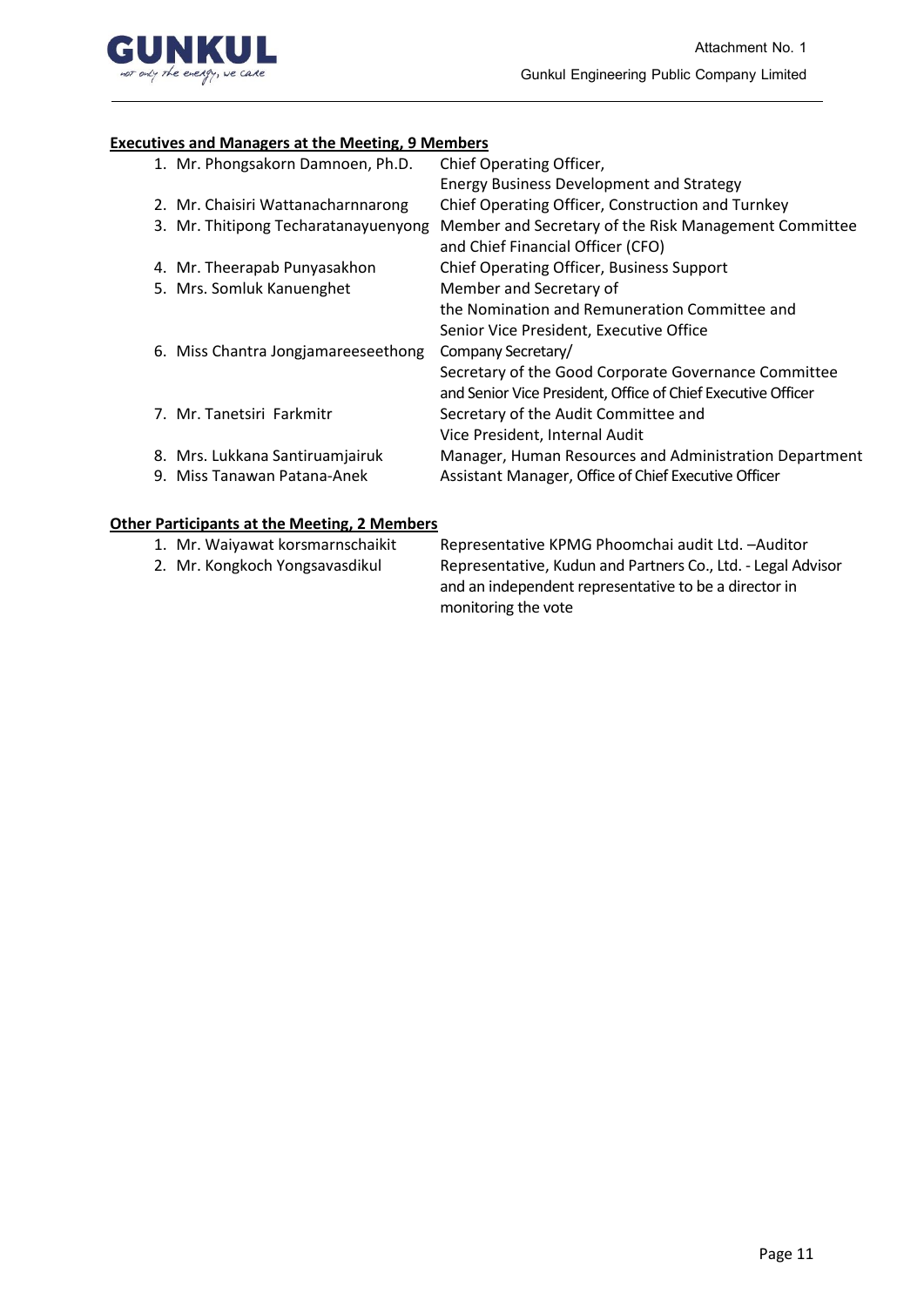

# **Executives and Managers at the Meeting, 9 Members**

| 1. Mr. Phongsakorn Damnoen, Ph.D.    | Chief Operating Officer,<br><b>Energy Business Development and Strategy</b>                                          |
|--------------------------------------|----------------------------------------------------------------------------------------------------------------------|
| 2. Mr. Chaisiri Wattanacharnnarong   | Chief Operating Officer, Construction and Turnkey                                                                    |
| 3. Mr. Thitipong Techaratanayuenyong | Member and Secretary of the Risk Management Committee<br>and Chief Financial Officer (CFO)                           |
| 4. Mr. Theerapab Punyasakhon         | Chief Operating Officer, Business Support                                                                            |
| 5. Mrs. Somluk Kanuenghet            | Member and Secretary of                                                                                              |
|                                      | the Nomination and Remuneration Committee and                                                                        |
|                                      | Senior Vice President, Executive Office                                                                              |
| 6. Miss Chantra Jongjamareeseethong  | Company Secretary/                                                                                                   |
|                                      | Secretary of the Good Corporate Governance Committee<br>and Senior Vice President, Office of Chief Executive Officer |
| 7. Mr. Tanetsiri Farkmitr            | Secretary of the Audit Committee and                                                                                 |
|                                      | Vice President, Internal Audit                                                                                       |
| 8. Mrs. Lukkana Santiruamjairuk      | Manager, Human Resources and Administration Department                                                               |
| 9. Miss Tanawan Patana-Anek          | Assistant Manager, Office of Chief Executive Officer                                                                 |

## **Other Participants at the Meeting, 2 Members**

| 1. Mr. Waiyawat korsmarnschaikit | Representative KPMG Phoomchai audit Ltd. - Auditor           |
|----------------------------------|--------------------------------------------------------------|
| 2. Mr. Kongkoch Yongsavasdikul   | Representative, Kudun and Partners Co., Ltd. - Legal Advisor |
|                                  | and an independent representative to be a director in        |
|                                  | monitoring the vote                                          |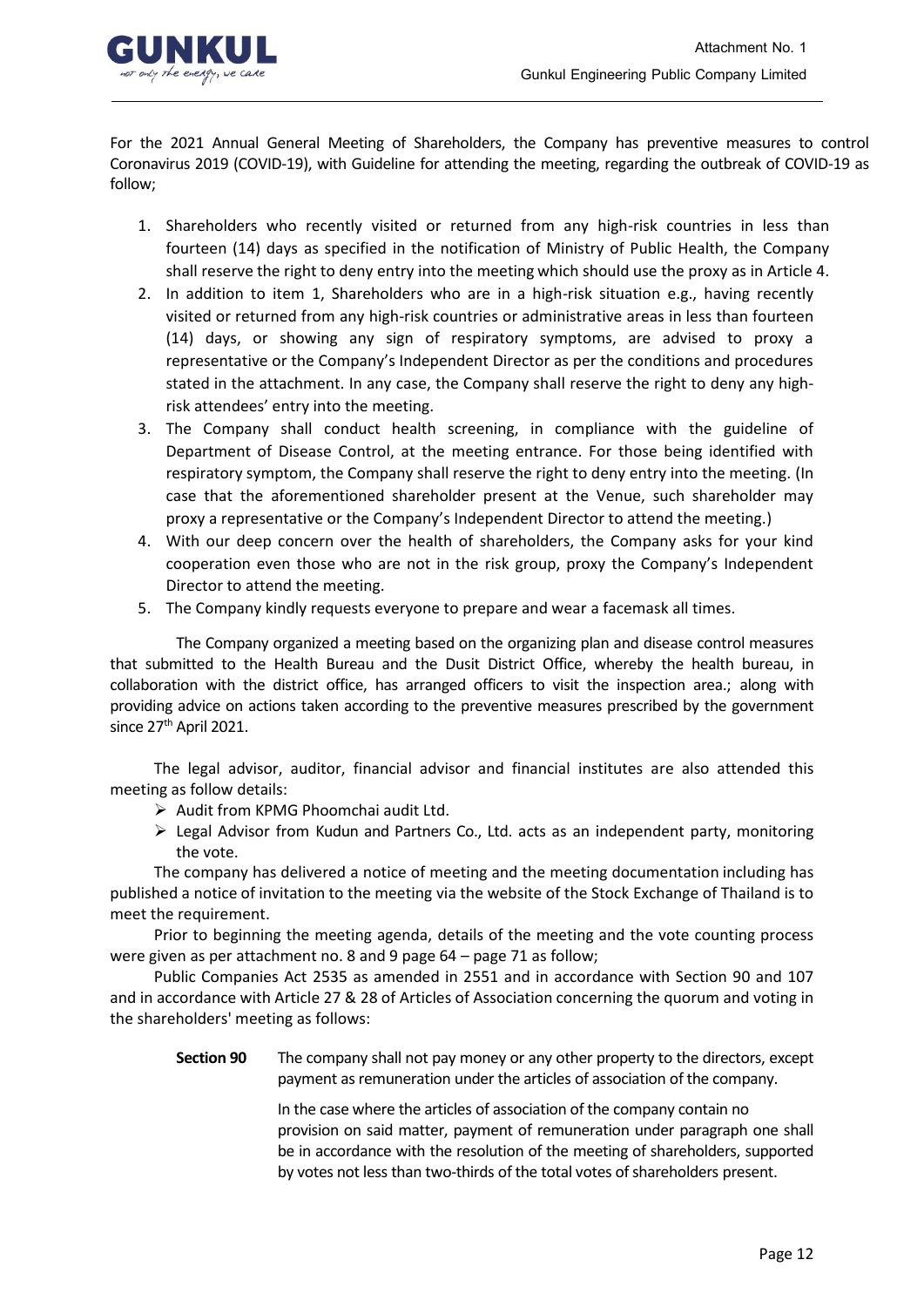

For the 2021 Annual General Meeting of Shareholders, the Company has preventive measures to control Coronavirus 2019 (COVID-19), with Guideline for attending the meeting, regarding the outbreak of COVID-19 as follow;

- 1. Shareholders who recently visited or returned from any high-risk countries in less than fourteen (14) days as specified in the notification of Ministry of Public Health, the Company shall reserve the right to deny entry into the meeting which should use the proxy as in Article 4.
- 2. In addition to item 1, Shareholders who are in a high-risk situation e.g., having recently visited or returned from any high-risk countries or administrative areas in less than fourteen (14) days, or showing any sign of respiratory symptoms, are advised to proxy a representative or the Company's Independent Director as per the conditions and procedures stated in the attachment. In any case, the Company shall reserve the right to deny any highrisk attendees' entry into the meeting.
- 3. The Company shall conduct health screening, in compliance with the guideline of Department of Disease Control, at the meeting entrance. For those being identified with respiratory symptom, the Company shall reserve the right to deny entry into the meeting. (In case that the aforementioned shareholder present at the Venue, such shareholder may proxy a representative or the Company's Independent Director to attend the meeting.)
- 4. With our deep concern over the health of shareholders, the Company asks for your kind cooperation even those who are not in the risk group, proxy the Company's Independent Director to attend the meeting.
- 5. The Company kindly requests everyone to prepare and wear a facemask all times.

The Company organized a meeting based on the organizing plan and disease control measures that submitted to the Health Bureau and the Dusit District Office, whereby the health bureau, in collaboration with the district office, has arranged officers to visit the inspection area.; along with providing advice on actions taken according to the preventive measures prescribed by the government since  $27<sup>th</sup>$  April 2021.

The legal advisor, auditor, financial advisor and financial institutes are also attended this meeting as follow details:

- ➢ Audit from KPMG Phoomchai audit Ltd.
- ➢ Legal Advisor from Kudun and Partners Co., Ltd. acts as an independent party, monitoring the vote.

The company has delivered a notice of meeting and the meeting documentation including has published a notice of invitation to the meeting via the website of the Stock Exchange of Thailand is to meet the requirement.

Prior to beginning the meeting agenda, details of the meeting and the vote counting process were given as per attachment no. 8 and 9 page 64 – page 71 as follow;

Public Companies Act 2535 as amended in 2551 and in accordance with Section 90 and 107 and in accordance with Article 27 & 28 of Articles of Association concerning the quorum and voting in the shareholders' meeting as follows:

**Section 90** The company shall not pay money or any other property to the directors, except payment as remuneration under the articles of association of the company.

> In the case where the articles of association of the company contain no provision on said matter, payment of remuneration under paragraph one shall be in accordance with the resolution of the meeting of shareholders, supported by votes not less than two-thirds of the total votes of shareholders present.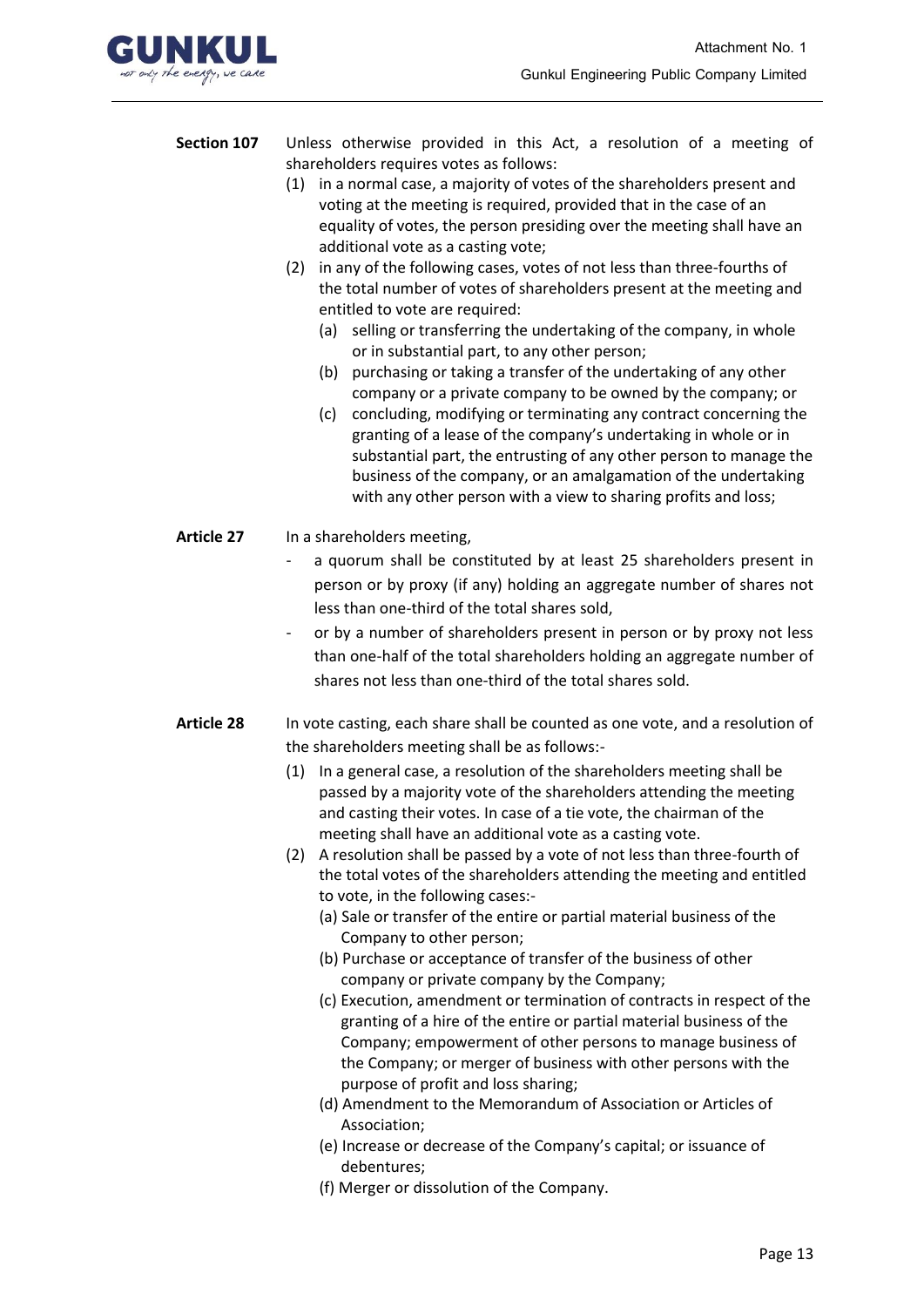

- **Section 107** Unless otherwise provided in this Act, a resolution of a meeting of shareholders requires votes as follows:
	- (1) in a normal case, a majority of votes of the shareholders present and voting at the meeting is required, provided that in the case of an equality of votes, the person presiding over the meeting shall have an additional vote as a casting vote;
	- (2) in any of the following cases, votes of not less than three-fourths of the total number of votes of shareholders present at the meeting and entitled to vote are required:
		- (a) selling or transferring the undertaking of the company, in whole or in substantial part, to any other person;
		- (b) purchasing or taking a transfer of the undertaking of any other company or a private company to be owned by the company; or
		- (c) concluding, modifying or terminating any contract concerning the granting of a lease of the company's undertaking in whole or in substantial part, the entrusting of any other person to manage the business of the company, or an amalgamation of the undertaking with any other person with a view to sharing profits and loss;
- **Article 27** In a shareholders meeting,
	- a quorum shall be constituted by at least 25 shareholders present in person or by proxy (if any) holding an aggregate number of shares not less than one-third of the total shares sold,
	- or by a number of shareholders present in person or by proxy not less than one-half of the total shareholders holding an aggregate number of shares not less than one-third of the total shares sold.
- **Article 28** In vote casting, each share shall be counted as one vote, and a resolution of the shareholders meeting shall be as follows:-
	- (1) In a general case, a resolution of the shareholders meeting shall be passed by a majority vote of the shareholders attending the meeting and casting their votes. In case of a tie vote, the chairman of the meeting shall have an additional vote as a casting vote.
	- (2) A resolution shall be passed by a vote of not less than three-fourth of the total votes of the shareholders attending the meeting and entitled to vote, in the following cases:-
		- (a) Sale or transfer of the entire or partial material business of the Company to other person;
		- (b) Purchase or acceptance of transfer of the business of other company or private company by the Company;
		- (c) Execution, amendment or termination of contracts in respect of the granting of a hire of the entire or partial material business of the Company; empowerment of other persons to manage business of the Company; or merger of business with other persons with the purpose of profit and loss sharing;
		- (d) Amendment to the Memorandum of Association or Articles of Association;
		- (e) Increase or decrease of the Company's capital; or issuance of debentures;
		- (f) Merger or dissolution of the Company.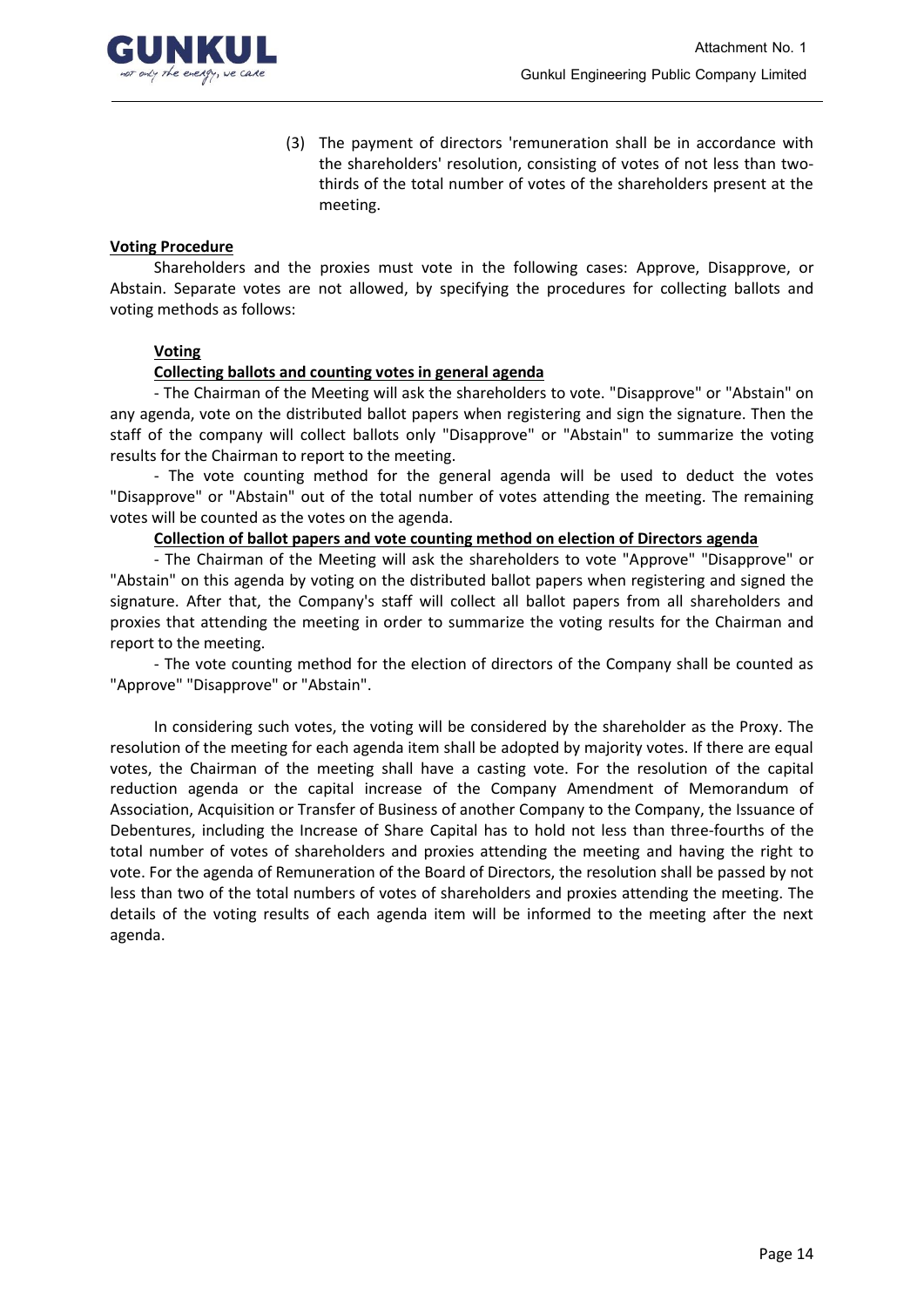

(3) The payment of directors 'remuneration shall be in accordance with the shareholders' resolution, consisting of votes of not less than twothirds of the total number of votes of the shareholders present at the meeting.

### **Voting Procedure**

Shareholders and the proxies must vote in the following cases: Approve, Disapprove, or Abstain. Separate votes are not allowed, by specifying the procedures for collecting ballots and voting methods as follows:

## **Voting**

## **Collecting ballots and counting votes in general agenda**

- The Chairman of the Meeting will ask the shareholders to vote. "Disapprove" or "Abstain" on any agenda, vote on the distributed ballot papers when registering and sign the signature. Then the staff of the company will collect ballots only "Disapprove" or "Abstain" to summarize the voting results for the Chairman to report to the meeting.

- The vote counting method for the general agenda will be used to deduct the votes "Disapprove" or "Abstain" out of the total number of votes attending the meeting. The remaining votes will be counted as the votes on the agenda.

### **Collection of ballot papers and vote counting method on election of Directors agenda**

- The Chairman of the Meeting will ask the shareholders to vote "Approve" "Disapprove" or "Abstain" on this agenda by voting on the distributed ballot papers when registering and signed the signature. After that, the Company's staff will collect all ballot papers from all shareholders and proxies that attending the meeting in order to summarize the voting results for the Chairman and report to the meeting.

- The vote counting method for the election of directors of the Company shall be counted as "Approve" "Disapprove" or "Abstain".

In considering such votes, the voting will be considered by the shareholder as the Proxy. The resolution of the meeting for each agenda item shall be adopted by majority votes. If there are equal votes, the Chairman of the meeting shall have a casting vote. For the resolution of the capital reduction agenda or the capital increase of the Company Amendment of Memorandum of Association, Acquisition or Transfer of Business of another Company to the Company, the Issuance of Debentures, including the Increase of Share Capital has to hold not less than three-fourths of the total number of votes of shareholders and proxies attending the meeting and having the right to vote. For the agenda of Remuneration of the Board of Directors, the resolution shall be passed by not less than two of the total numbers of votes of shareholders and proxies attending the meeting. The details of the voting results of each agenda item will be informed to the meeting after the next agenda.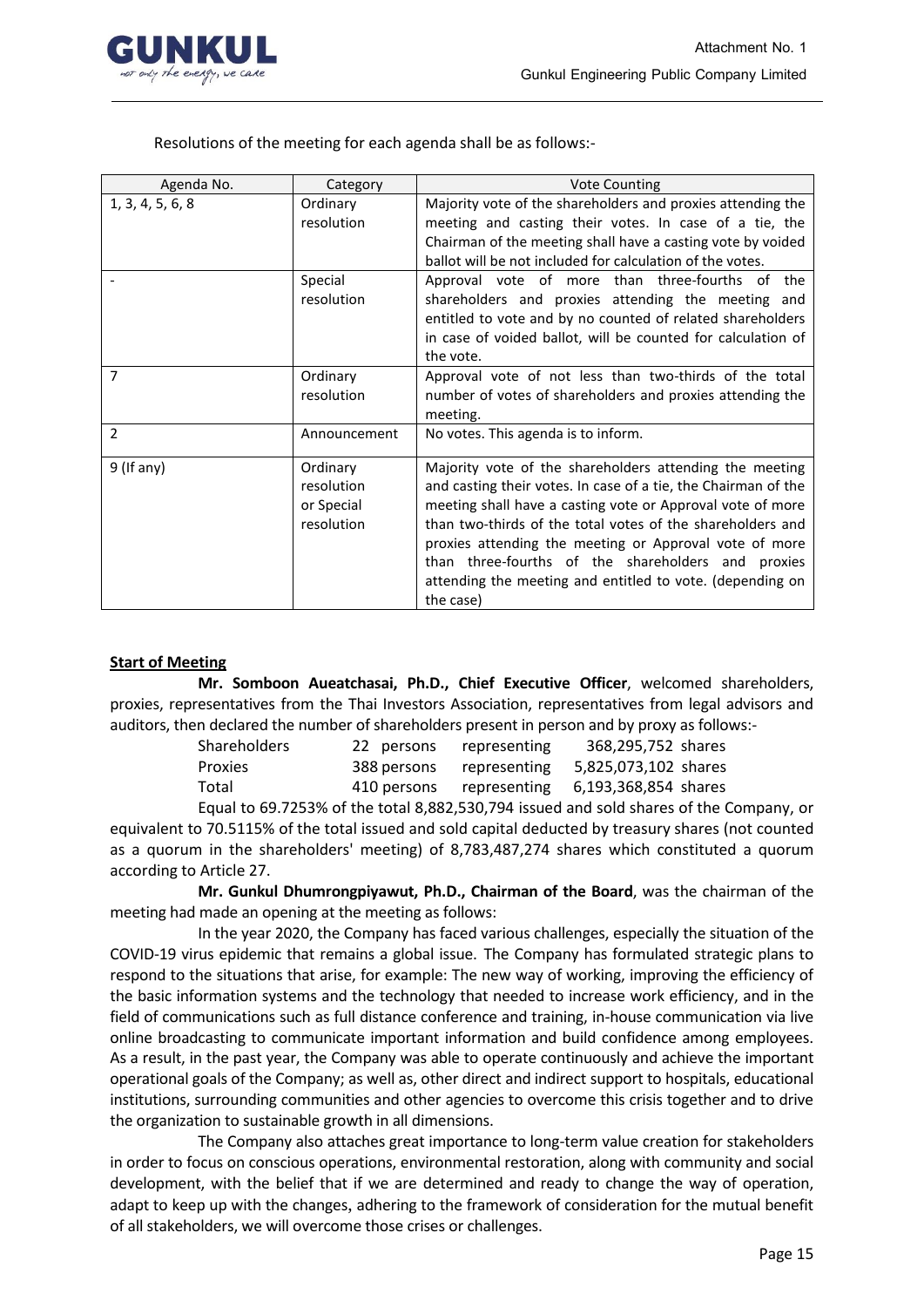

Resolutions of the meeting for each agenda shall be as follows:-

| Agenda No.       | <b>Vote Counting</b><br>Category                   |                                                                                                                                                                                                                                                                                                                                                                                                                                                 |  |
|------------------|----------------------------------------------------|-------------------------------------------------------------------------------------------------------------------------------------------------------------------------------------------------------------------------------------------------------------------------------------------------------------------------------------------------------------------------------------------------------------------------------------------------|--|
| 1, 3, 4, 5, 6, 8 | Ordinary<br>resolution                             | Majority vote of the shareholders and proxies attending the<br>meeting and casting their votes. In case of a tie, the                                                                                                                                                                                                                                                                                                                           |  |
|                  |                                                    | Chairman of the meeting shall have a casting vote by voided<br>ballot will be not included for calculation of the votes.                                                                                                                                                                                                                                                                                                                        |  |
|                  | Special<br>resolution                              | Approval vote of more than three-fourths of the<br>shareholders and proxies attending the meeting and<br>entitled to vote and by no counted of related shareholders<br>in case of voided ballot, will be counted for calculation of<br>the vote.                                                                                                                                                                                                |  |
| $\overline{7}$   | Ordinary<br>resolution                             | Approval vote of not less than two-thirds of the total<br>number of votes of shareholders and proxies attending the<br>meeting.                                                                                                                                                                                                                                                                                                                 |  |
| 2                | Announcement                                       | No votes. This agenda is to inform.                                                                                                                                                                                                                                                                                                                                                                                                             |  |
| $9$ (If any)     | Ordinary<br>resolution<br>or Special<br>resolution | Majority vote of the shareholders attending the meeting<br>and casting their votes. In case of a tie, the Chairman of the<br>meeting shall have a casting vote or Approval vote of more<br>than two-thirds of the total votes of the shareholders and<br>proxies attending the meeting or Approval vote of more<br>than three-fourths of the shareholders and proxies<br>attending the meeting and entitled to vote. (depending on<br>the case) |  |

### **Start of Meeting**

**Mr. Somboon Aueatchasai, Ph.D., Chief Executive Officer**, welcomed shareholders, proxies, representatives from the Thai Investors Association, representatives from legal advisors and auditors, then declared the number of shareholders present in person and by proxy as follows:-

| <b>Shareholders</b> | 22 persons  | representing | 368,295,752 shares   |  |
|---------------------|-------------|--------------|----------------------|--|
| Proxies             | 388 persons | representing | 5,825,073,102 shares |  |
|                     |             |              |                      |  |
| Total               | 410 persons | representing | 6,193,368,854 shares |  |

Equal to 69.7253% of the total 8,882,530,794 issued and sold shares of the Company, or equivalent to 70.5115% of the total issued and sold capital deducted by treasury shares (not counted as a quorum in the shareholders' meeting) of 8,783,487,274 shares which constituted a quorum according to Article 27.

**Mr. Gunkul Dhumrongpiyawut, Ph.D., Chairman of the Board**, was the chairman of the meeting had made an opening at the meeting as follows:

In the year 2020, the Company has faced various challenges, especially the situation of the COVID-19 virus epidemic that remains a global issue. The Company has formulated strategic plans to respond to the situations that arise, for example: The new way of working, improving the efficiency of the basic information systems and the technology that needed to increase work efficiency, and in the field of communications such as full distance conference and training, in-house communication via live online broadcasting to communicate important information and build confidence among employees. As a result, in the past year, the Company was able to operate continuously and achieve the important operational goals of the Company; as well as, other direct and indirect support to hospitals, educational institutions, surrounding communities and other agencies to overcome this crisis together and to drive the organization to sustainable growth in all dimensions.

The Company also attaches great importance to long-term value creation for stakeholders in order to focus on conscious operations, environmental restoration, along with community and social development, with the belief that if we are determined and ready to change the way of operation, adapt to keep up with the changes, adhering to the framework of consideration for the mutual benefit of all stakeholders, we will overcome those crises or challenges.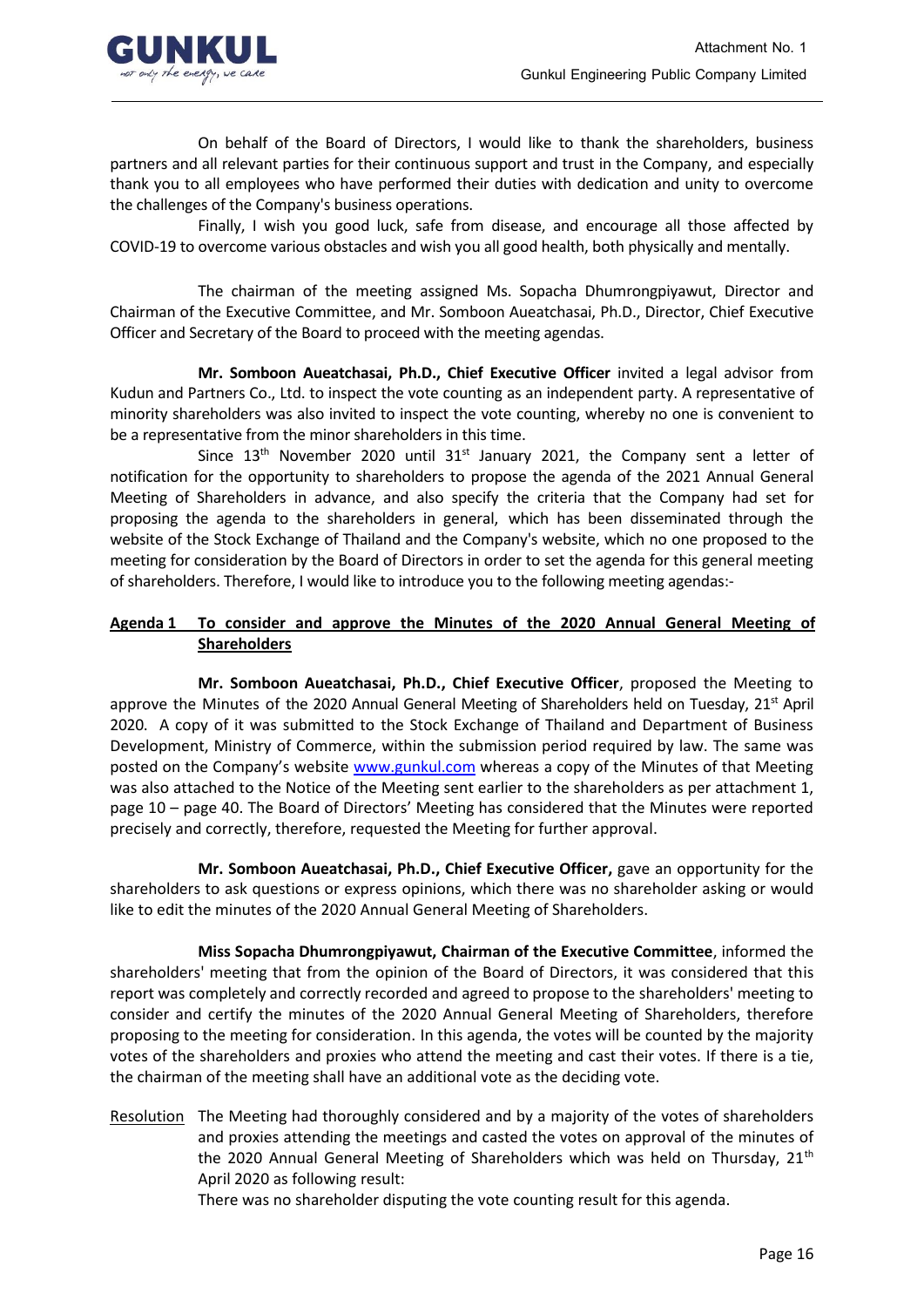

On behalf of the Board of Directors, I would like to thank the shareholders, business partners and all relevant parties for their continuous support and trust in the Company, and especially thank you to all employees who have performed their duties with dedication and unity to overcome the challenges of the Company's business operations.

Finally, I wish you good luck, safe from disease, and encourage all those affected by COVID-19 to overcome various obstacles and wish you all good health, both physically and mentally.

The chairman of the meeting assigned Ms. Sopacha Dhumrongpiyawut, Director and Chairman of the Executive Committee, and Mr. Somboon Aueatchasai, Ph.D., Director, Chief Executive Officer and Secretary of the Board to proceed with the meeting agendas.

**Mr. Somboon Aueatchasai, Ph.D., Chief Executive Officer** invited a legal advisor from Kudun and Partners Co., Ltd. to inspect the vote counting as an independent party. A representative of minority shareholders was also invited to inspect the vote counting, whereby no one is convenient to be a representative from the minor shareholders in this time.

Since 13<sup>th</sup> November 2020 until 31<sup>st</sup> January 2021, the Company sent a letter of notification for the opportunity to shareholders to propose the agenda of the 2021 Annual General Meeting of Shareholders in advance, and also specify the criteria that the Company had set for proposing the agenda to the shareholders in general, which has been disseminated through the website of the Stock Exchange of Thailand and the Company's website, which no one proposed to the meeting for consideration by the Board of Directors in order to set the agenda for this general meeting of shareholders. Therefore, I would like to introduce you to the following meeting agendas:-

## **Agenda 1 To consider and approve the Minutes of the 2020 Annual General Meeting of Shareholders**

**Mr. Somboon Aueatchasai, Ph.D., Chief Executive Officer**, proposed the Meeting to approve the Minutes of the 2020 Annual General Meeting of Shareholders held on Tuesday, 21<sup>st</sup> April 2020. A copy of it was submitted to the Stock Exchange of Thailand and Department of Business Development, Ministry of Commerce, within the submission period required by law. The same was posted on the Company's website [www.gunkul.com](http://www.gunkul.com/) whereas a copy of the Minutes of that Meeting was also attached to the Notice of the Meeting sent earlier to the shareholders as per attachment 1, page 10 – page 40. The Board of Directors' Meeting has considered that the Minutes were reported precisely and correctly, therefore, requested the Meeting for further approval.

**Mr. Somboon Aueatchasai, Ph.D., Chief Executive Officer,** gave an opportunity for the shareholders to ask questions or express opinions, which there was no shareholder asking or would like to edit the minutes of the 2020 Annual General Meeting of Shareholders.

**Miss Sopacha Dhumrongpiyawut, Chairman of the Executive Committee**, informed the shareholders' meeting that from the opinion of the Board of Directors, it was considered that this report was completely and correctly recorded and agreed to propose to the shareholders' meeting to consider and certify the minutes of the 2020 Annual General Meeting of Shareholders, therefore proposing to the meeting for consideration. In this agenda, the votes will be counted by the majority votes of the shareholders and proxies who attend the meeting and cast their votes. If there is a tie, the chairman of the meeting shall have an additional vote as the deciding vote.

Resolution The Meeting had thoroughly considered and by a majority of the votes of shareholders and proxies attending the meetings and casted the votes on approval of the minutes of the 2020 Annual General Meeting of Shareholders which was held on Thursday,  $21<sup>th</sup>$ April 2020 as following result:

There was no shareholder disputing the vote counting result for this agenda.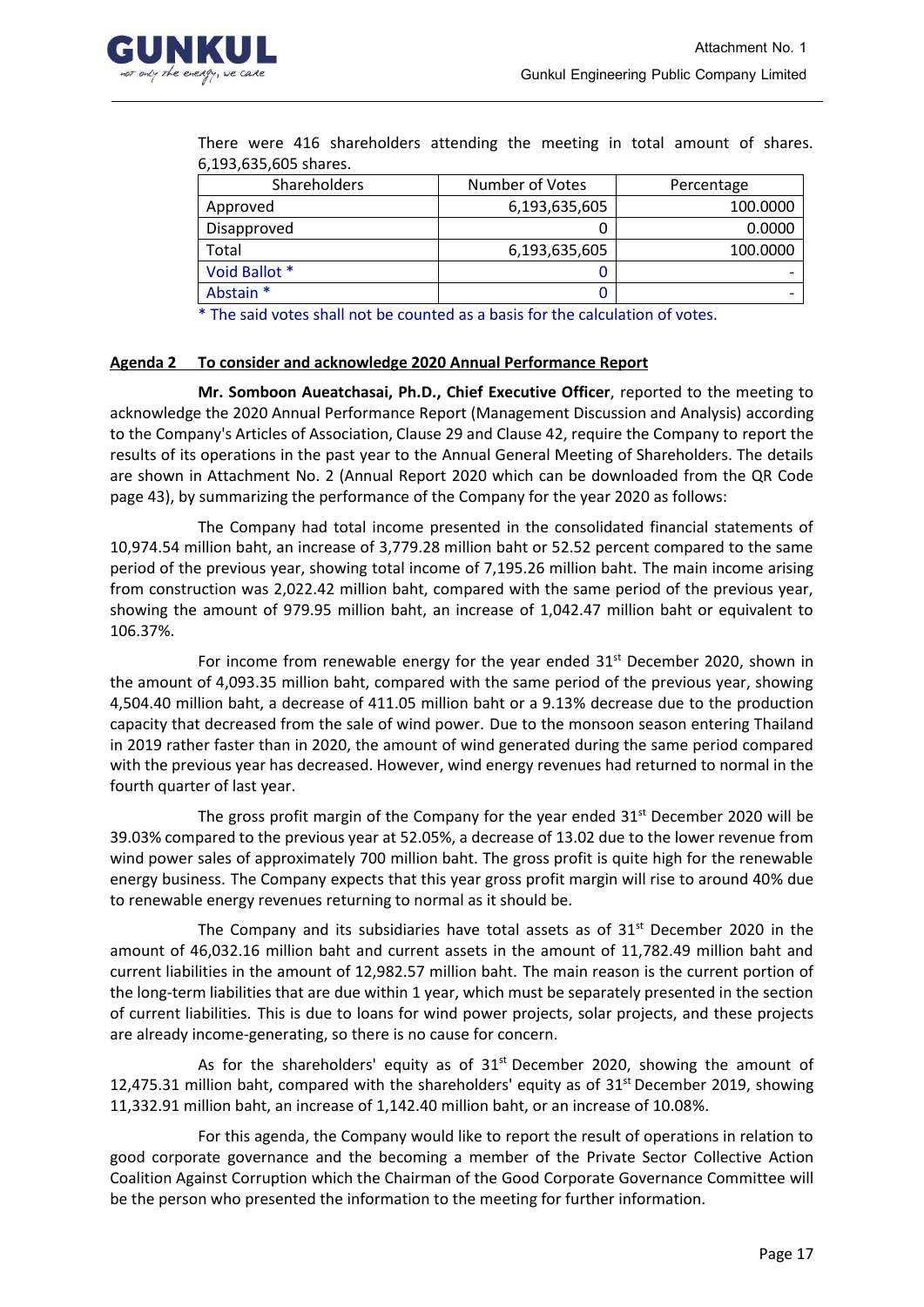

| 0,199,099,009 snarcs. |                 |            |  |  |
|-----------------------|-----------------|------------|--|--|
| Shareholders          | Number of Votes | Percentage |  |  |
| Approved              | 6,193,635,605   | 100.0000   |  |  |
| Disapproved           |                 | 0.0000     |  |  |
| Total                 | 6,193,635,605   | 100.0000   |  |  |
| Void Ballot *         |                 |            |  |  |
| Abstain *             |                 |            |  |  |
|                       |                 |            |  |  |

There were 416 shareholders attending the meeting in total amount of shares. 6,193,635,605 shares.

\* The said votes shall not be counted as a basis for the calculation of votes.

### **Agenda 2 To consider and acknowledge 2020 Annual Performance Report**

**Mr. Somboon Aueatchasai, Ph.D., Chief Executive Officer**, reported to the meeting to acknowledge the 2020 Annual Performance Report (Management Discussion and Analysis) according to the Company's Articles of Association, Clause 29 and Clause 42, require the Company to report the results of its operations in the past year to the Annual General Meeting of Shareholders. The details are shown in Attachment No. 2 (Annual Report 2020 which can be downloaded from the QR Code page 43), by summarizing the performance of the Company for the year 2020 as follows:

The Company had total income presented in the consolidated financial statements of 10,974.54 million baht, an increase of 3,779.28 million baht or 52.52 percent compared to the same period of the previous year, showing total income of 7,195.26 million baht. The main income arising from construction was 2,022.42 million baht, compared with the same period of the previous year, showing the amount of 979.95 million baht, an increase of 1,042.47 million baht or equivalent to 106.37%.

For income from renewable energy for the year ended  $31<sup>st</sup>$  December 2020, shown in the amount of 4,093.35 million baht, compared with the same period of the previous year, showing 4,504.40 million baht, a decrease of 411.05 million baht or a 9.13% decrease due to the production capacity that decreased from the sale of wind power. Due to the monsoon season entering Thailand in 2019 rather faster than in 2020, the amount of wind generated during the same period compared with the previous year has decreased. However, wind energy revenues had returned to normal in the fourth quarter of last year.

The gross profit margin of the Company for the year ended  $31^{st}$  December 2020 will be 39.03% compared to the previous year at 52.05%, a decrease of 13.02 due to the lower revenue from wind power sales of approximately 700 million baht. The gross profit is quite high for the renewable energy business. The Company expects that this year gross profit margin will rise to around 40% due to renewable energy revenues returning to normal as it should be.

The Company and its subsidiaries have total assets as of  $31<sup>st</sup>$  December 2020 in the amount of 46,032.16 million baht and current assets in the amount of 11,782.49 million baht and current liabilities in the amount of 12,982.57 million baht. The main reason is the current portion of the long-term liabilities that are due within 1 year, which must be separately presented in the section of current liabilities. This is due to loans for wind power projects, solar projects, and these projects are already income-generating, so there is no cause for concern.

As for the shareholders' equity as of  $31<sup>st</sup>$  December 2020, showing the amount of 12,475.31 million baht, compared with the shareholders' equity as of  $31<sup>st</sup>$  December 2019, showing 11,332.91 million baht, an increase of 1,142.40 million baht, or an increase of 10.08%.

For this agenda, the Company would like to report the result of operations in relation to good corporate governance and the becoming a member of the Private Sector Collective Action Coalition Against Corruption which the Chairman of the Good Corporate Governance Committee will be the person who presented the information to the meeting for further information.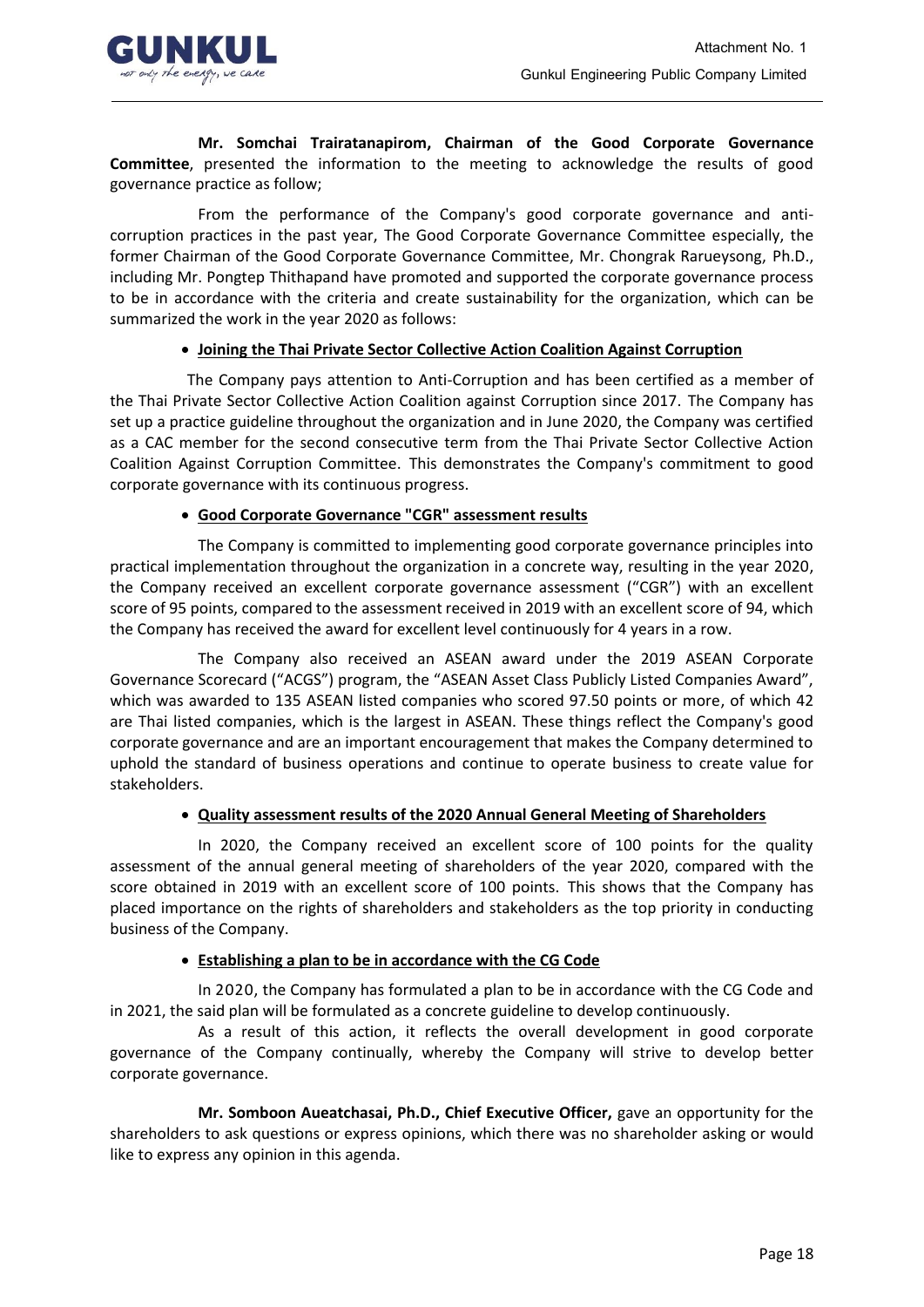

**Mr. Somchai Trairatanapirom, Chairman of the Good Corporate Governance Committee**, presented the information to the meeting to acknowledge the results of good governance practice as follow;

From the performance of the Company's good corporate governance and anticorruption practices in the past year, The Good Corporate Governance Committee especially, the former Chairman of the Good Corporate Governance Committee, Mr. Chongrak Rarueysong, Ph.D., including Mr. Pongtep Thithapand have promoted and supported the corporate governance process to be in accordance with the criteria and create sustainability for the organization, which can be summarized the work in the year 2020 as follows:

## • **Joining the Thai Private Sector Collective Action Coalition Against Corruption**

The Company pays attention to Anti-Corruption and has been certified as a member of the Thai Private Sector Collective Action Coalition against Corruption since 2017. The Company has set up a practice guideline throughout the organization and in June 2020, the Company was certified as a CAC member for the second consecutive term from the Thai Private Sector Collective Action Coalition Against Corruption Committee. This demonstrates the Company's commitment to good corporate governance with its continuous progress.

## • **Good Corporate Governance "CGR" assessment results**

The Company is committed to implementing good corporate governance principles into practical implementation throughout the organization in a concrete way, resulting in the year 2020, the Company received an excellent corporate governance assessment ("CGR") with an excellent score of 95 points, compared to the assessment received in 2019 with an excellent score of 94, which the Company has received the award for excellent level continuously for 4 years in a row.

The Company also received an ASEAN award under the 2019 ASEAN Corporate Governance Scorecard ("ACGS") program, the "ASEAN Asset Class Publicly Listed Companies Award", which was awarded to 135 ASEAN listed companies who scored 97.50 points or more, of which 42 are Thai listed companies, which is the largest in ASEAN. These things reflect the Company's good corporate governance and are an important encouragement that makes the Company determined to uphold the standard of business operations and continue to operate business to create value for stakeholders.

### • **Quality assessment results of the 2020 Annual General Meeting of Shareholders**

In 2020, the Company received an excellent score of 100 points for the quality assessment of the annual general meeting of shareholders of the year 2020, compared with the score obtained in 2019 with an excellent score of 100 points. This shows that the Company has placed importance on the rights of shareholders and stakeholders as the top priority in conducting business of the Company.

### • **Establishing a plan to be in accordance with the CG Code**

In 2020, the Company has formulated a plan to be in accordance with the CG Code and in 2021, the said plan will be formulated as a concrete guideline to develop continuously.

As a result of this action, it reflects the overall development in good corporate governance of the Company continually, whereby the Company will strive to develop better corporate governance.

**Mr. Somboon Aueatchasai, Ph.D., Chief Executive Officer,** gave an opportunity for the shareholders to ask questions or express opinions, which there was no shareholder asking or would like to express any opinion in this agenda.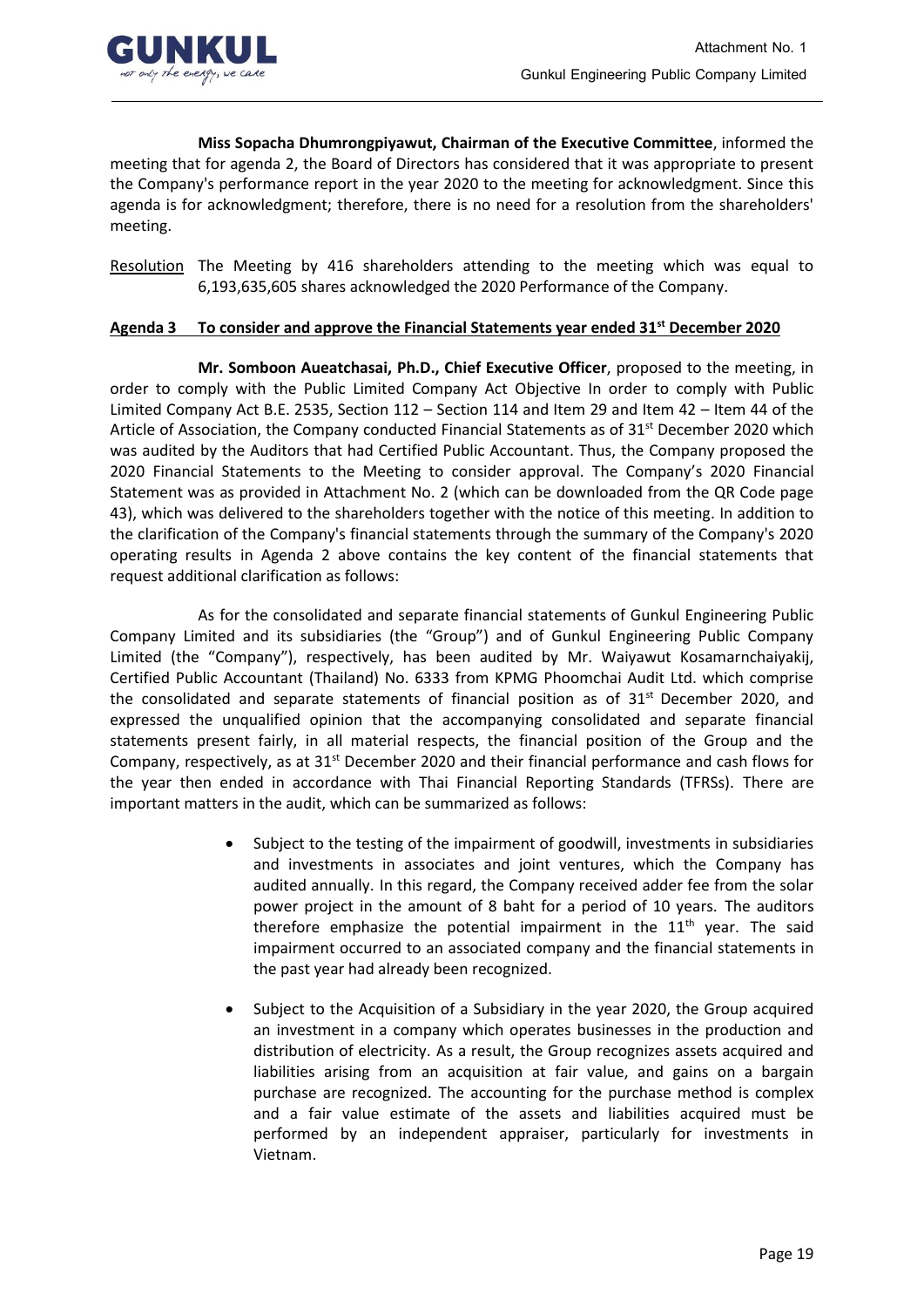

**Miss Sopacha Dhumrongpiyawut, Chairman of the Executive Committee**, informed the meeting that for agenda 2, the Board of Directors has considered that it was appropriate to present the Company's performance report in the year 2020 to the meeting for acknowledgment. Since this agenda is for acknowledgment; therefore, there is no need for a resolution from the shareholders' meeting.

Resolution The Meeting by 416 shareholders attending to the meeting which was equal to 6,193,635,605 shares acknowledged the 2020 Performance of the Company.

### **Agenda 3 To consider and approve the Financial Statements year ended 31st December 2020**

**Mr. Somboon Aueatchasai, Ph.D., Chief Executive Officer**, proposed to the meeting, in order to comply with the Public Limited Company Act Objective In order to comply with Public Limited Company Act B.E. 2535, Section 112 – Section 114 and Item 29 and Item 42 – Item 44 of the Article of Association, the Company conducted Financial Statements as of  $31<sup>st</sup>$  December 2020 which was audited by the Auditors that had Certified Public Accountant. Thus, the Company proposed the 2020 Financial Statements to the Meeting to consider approval. The Company's 2020 Financial Statement was as provided in Attachment No. 2 (which can be downloaded from the QR Code page 43), which was delivered to the shareholders together with the notice of this meeting. In addition to the clarification of the Company's financial statements through the summary of the Company's 2020 operating results in Agenda 2 above contains the key content of the financial statements that request additional clarification as follows:

As for the consolidated and separate financial statements of Gunkul Engineering Public Company Limited and its subsidiaries (the "Group") and of Gunkul Engineering Public Company Limited (the "Company"), respectively, has been audited by Mr. Waiyawut Kosamarnchaiyakij, Certified Public Accountant (Thailand) No. 6333 from KPMG Phoomchai Audit Ltd. which comprise the consolidated and separate statements of financial position as of  $31<sup>st</sup>$  December 2020, and expressed the unqualified opinion that the accompanying consolidated and separate financial statements present fairly, in all material respects, the financial position of the Group and the Company, respectively, as at 31<sup>st</sup> December 2020 and their financial performance and cash flows for the year then ended in accordance with Thai Financial Reporting Standards (TFRSs). There are important matters in the audit, which can be summarized as follows:

- Subject to the testing of the impairment of goodwill, investments in subsidiaries and investments in associates and joint ventures, which the Company has audited annually. In this regard, the Company received adder fee from the solar power project in the amount of 8 baht for a period of 10 years. The auditors therefore emphasize the potential impairment in the  $11<sup>th</sup>$  year. The said impairment occurred to an associated company and the financial statements in the past year had already been recognized.
- Subject to the Acquisition of a Subsidiary in the year 2020, the Group acquired an investment in a company which operates businesses in the production and distribution of electricity. As a result, the Group recognizes assets acquired and liabilities arising from an acquisition at fair value, and gains on a bargain purchase are recognized. The accounting for the purchase method is complex and a fair value estimate of the assets and liabilities acquired must be performed by an independent appraiser, particularly for investments in Vietnam.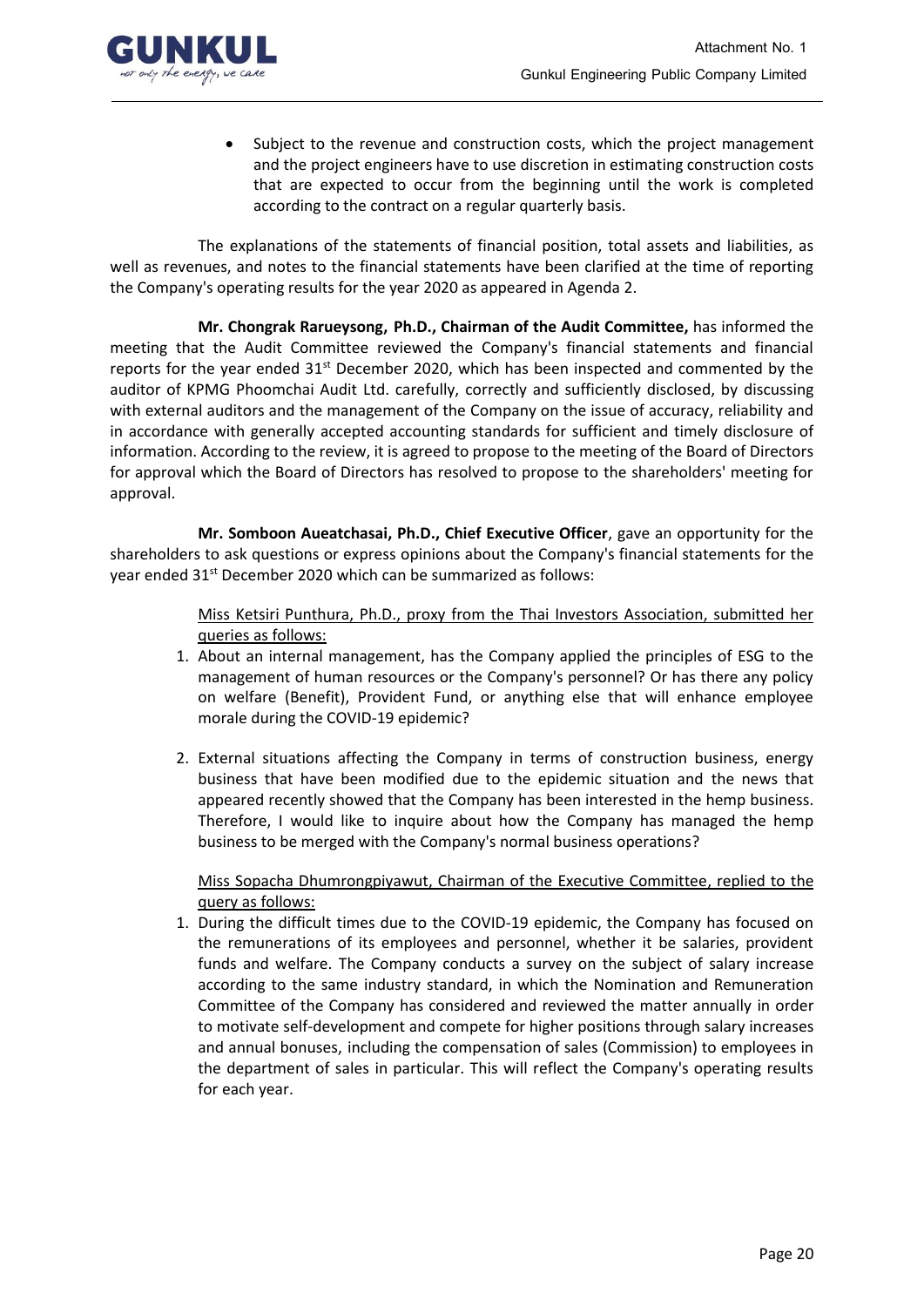

• Subject to the revenue and construction costs, which the project management and the project engineers have to use discretion in estimating construction costs that are expected to occur from the beginning until the work is completed according to the contract on a regular quarterly basis.

The explanations of the statements of financial position, total assets and liabilities, as well as revenues, and notes to the financial statements have been clarified at the time of reporting the Company's operating results for the year 2020 as appeared in Agenda 2.

**Mr. Chongrak Rarueysong, Ph.D., Chairman of the Audit Committee,** has informed the meeting that the Audit Committee reviewed the Company's financial statements and financial reports for the year ended  $31<sup>st</sup>$  December 2020, which has been inspected and commented by the auditor of KPMG Phoomchai Audit Ltd. carefully, correctly and sufficiently disclosed, by discussing with external auditors and the management of the Company on the issue of accuracy, reliability and in accordance with generally accepted accounting standards for sufficient and timely disclosure of information. According to the review, it is agreed to propose to the meeting of the Board of Directors for approval which the Board of Directors has resolved to propose to the shareholders' meeting for approval.

**Mr. Somboon Aueatchasai, Ph.D., Chief Executive Officer**, gave an opportunity for the shareholders to ask questions or express opinions about the Company's financial statements for the year ended 31<sup>st</sup> December 2020 which can be summarized as follows:

> Miss Ketsiri Punthura, Ph.D., proxy from the Thai Investors Association, submitted her queries as follows:

- 1. About an internal management, has the Company applied the principles of ESG to the management of human resources or the Company's personnel? Or has there any policy on welfare (Benefit), Provident Fund, or anything else that will enhance employee morale during the COVID-19 epidemic?
- 2. External situations affecting the Company in terms of construction business, energy business that have been modified due to the epidemic situation and the news that appeared recently showed that the Company has been interested in the hemp business. Therefore, I would like to inquire about how the Company has managed the hemp business to be merged with the Company's normal business operations?

Miss Sopacha Dhumrongpiyawut, Chairman of the Executive Committee, replied to the query as follows:

1. During the difficult times due to the COVID-19 epidemic, the Company has focused on the remunerations of its employees and personnel, whether it be salaries, provident funds and welfare. The Company conducts a survey on the subject of salary increase according to the same industry standard, in which the Nomination and Remuneration Committee of the Company has considered and reviewed the matter annually in order to motivate self-development and compete for higher positions through salary increases and annual bonuses, including the compensation of sales (Commission) to employees in the department of sales in particular. This will reflect the Company's operating results for each year.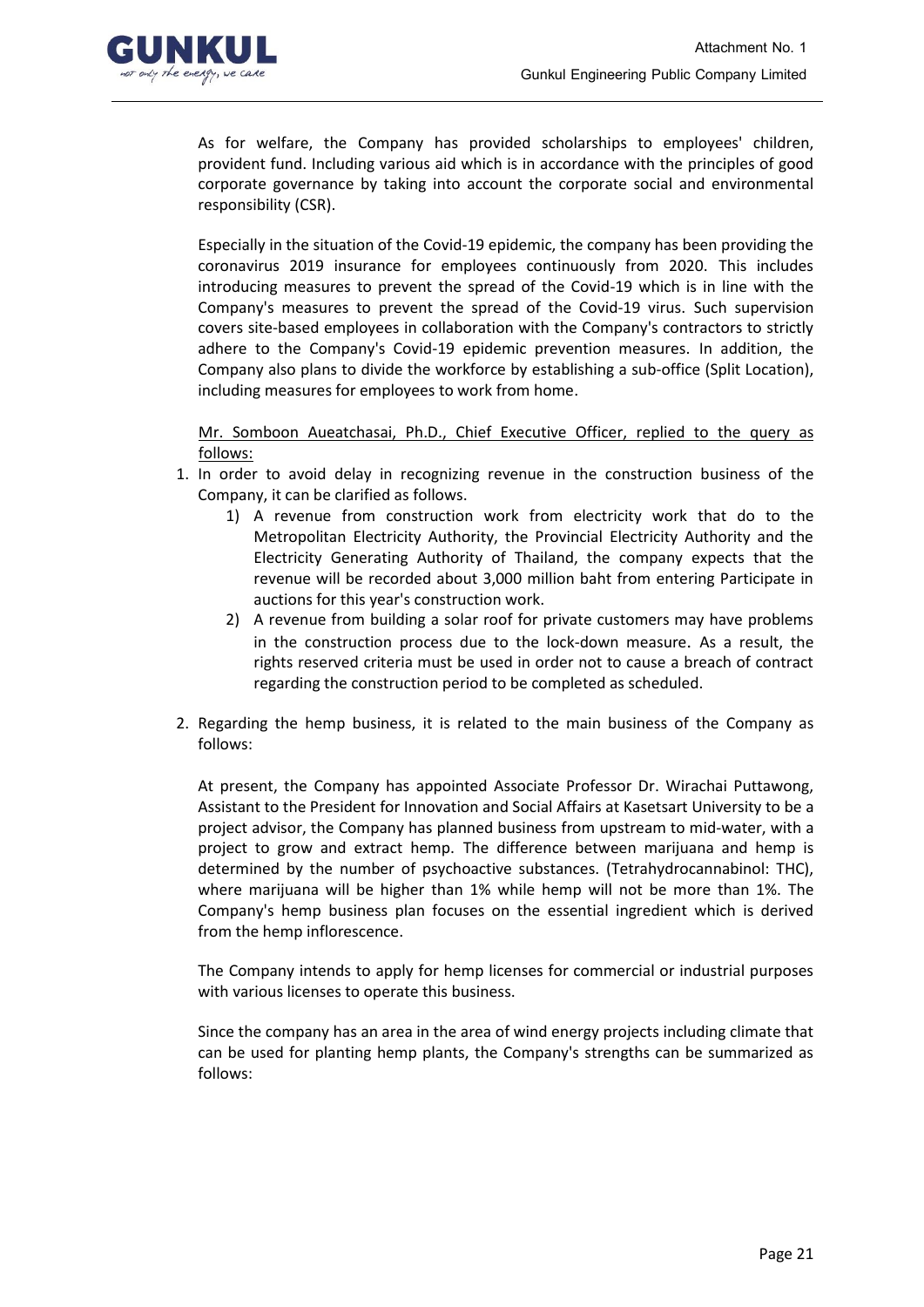

As for welfare, the Company has provided scholarships to employees' children, provident fund. Including various aid which is in accordance with the principles of good corporate governance by taking into account the corporate social and environmental responsibility (CSR).

Especially in the situation of the Covid-19 epidemic, the company has been providing the coronavirus 2019 insurance for employees continuously from 2020. This includes introducing measures to prevent the spread of the Covid-19 which is in line with the Company's measures to prevent the spread of the Covid-19 virus. Such supervision covers site-based employees in collaboration with the Company's contractors to strictly adhere to the Company's Covid-19 epidemic prevention measures. In addition, the Company also plans to divide the workforce by establishing a sub-office (Split Location), including measures for employees to work from home.

Mr. Somboon Aueatchasai, Ph.D., Chief Executive Officer, replied to the query as follows:

- 1. In order to avoid delay in recognizing revenue in the construction business of the Company, it can be clarified as follows.
	- 1) A revenue from construction work from electricity work that do to the Metropolitan Electricity Authority, the Provincial Electricity Authority and the Electricity Generating Authority of Thailand, the company expects that the revenue will be recorded about 3,000 million baht from entering Participate in auctions for this year's construction work.
	- 2) A revenue from building a solar roof for private customers may have problems in the construction process due to the lock-down measure. As a result, the rights reserved criteria must be used in order not to cause a breach of contract regarding the construction period to be completed as scheduled.
- 2. Regarding the hemp business, it is related to the main business of the Company as follows:

At present, the Company has appointed Associate Professor Dr. Wirachai Puttawong, Assistant to the President for Innovation and Social Affairs at Kasetsart University to be a project advisor, the Company has planned business from upstream to mid-water, with a project to grow and extract hemp. The difference between marijuana and hemp is determined by the number of psychoactive substances. (Tetrahydrocannabinol: THC), where marijuana will be higher than 1% while hemp will not be more than 1%. The Company's hemp business plan focuses on the essential ingredient which is derived from the hemp inflorescence.

The Company intends to apply for hemp licenses for commercial or industrial purposes with various licenses to operate this business.

Since the company has an area in the area of wind energy projects including climate that can be used for planting hemp plants, the Company's strengths can be summarized as follows: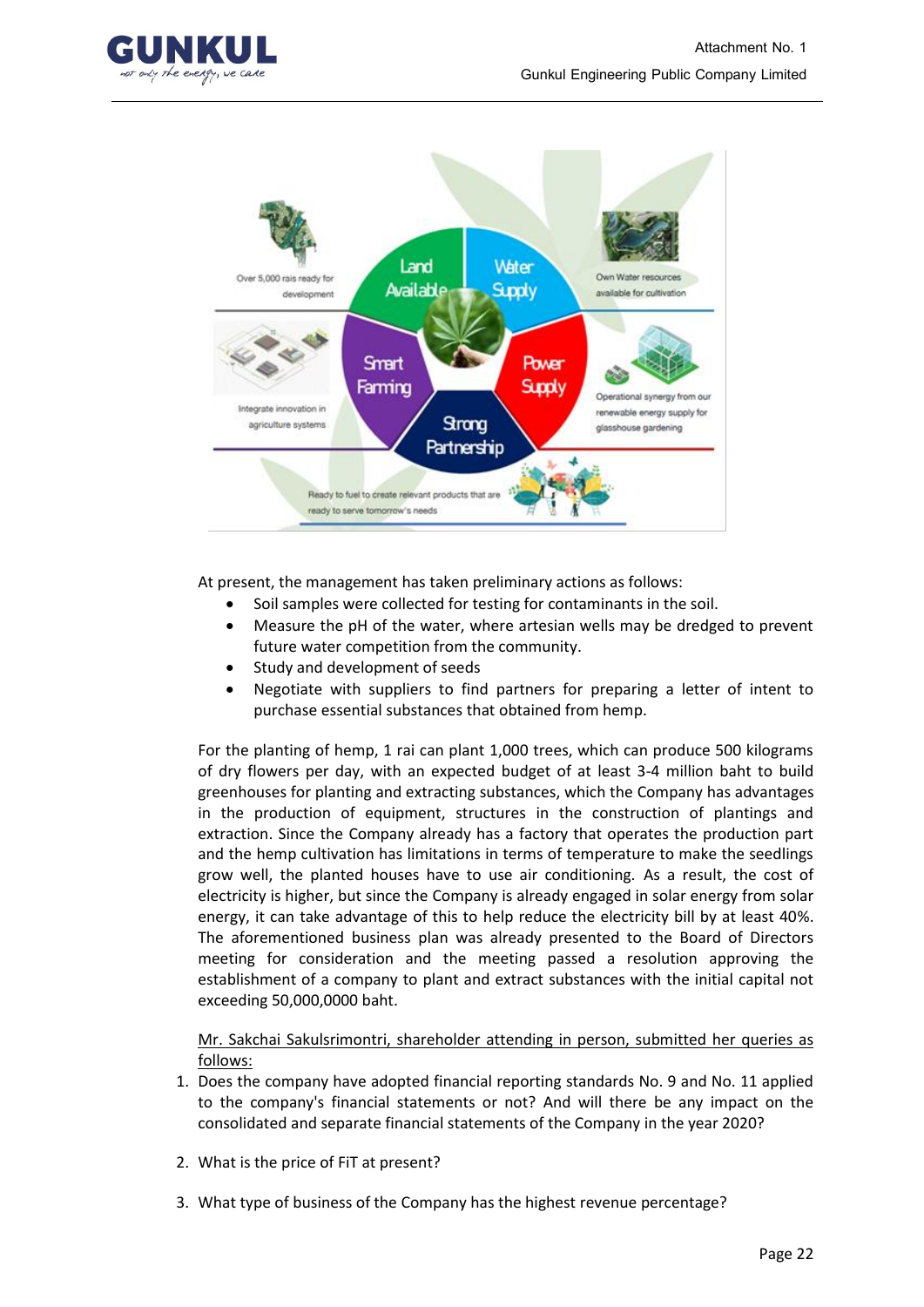



At present, the management has taken preliminary actions as follows:

- Soil samples were collected for testing for contaminants in the soil.
- Measure the pH of the water, where artesian wells may be dredged to prevent future water competition from the community.
- Study and development of seeds
- Negotiate with suppliers to find partners for preparing a letter of intent to purchase essential substances that obtained from hemp.

For the planting of hemp, 1 rai can plant 1,000 trees, which can produce 500 kilograms of dry flowers per day, with an expected budget of at least 3-4 million baht to build greenhouses for planting and extracting substances, which the Company has advantages in the production of equipment, structures in the construction of plantings and extraction. Since the Company already has a factory that operates the production part and the hemp cultivation has limitations in terms of temperature to make the seedlings grow well, the planted houses have to use air conditioning. As a result, the cost of electricity is higher, but since the Company is already engaged in solar energy from solar energy, it can take advantage of this to help reduce the electricity bill by at least 40%. The aforementioned business plan was already presented to the Board of Directors meeting for consideration and the meeting passed a resolution approving the establishment of a company to plant and extract substances with the initial capital not exceeding 50,000,0000 baht.

Mr. Sakchai Sakulsrimontri, shareholder attending in person, submitted her queries as follows:

- 1. Does the company have adopted financial reporting standards No. 9 and No. 11 applied to the company's financial statements or not? And will there be any impact on the consolidated and separate financial statements of the Company in the year 2020?
- 2. What is the price of FiT at present?
- 3. What type of business of the Company has the highest revenue percentage?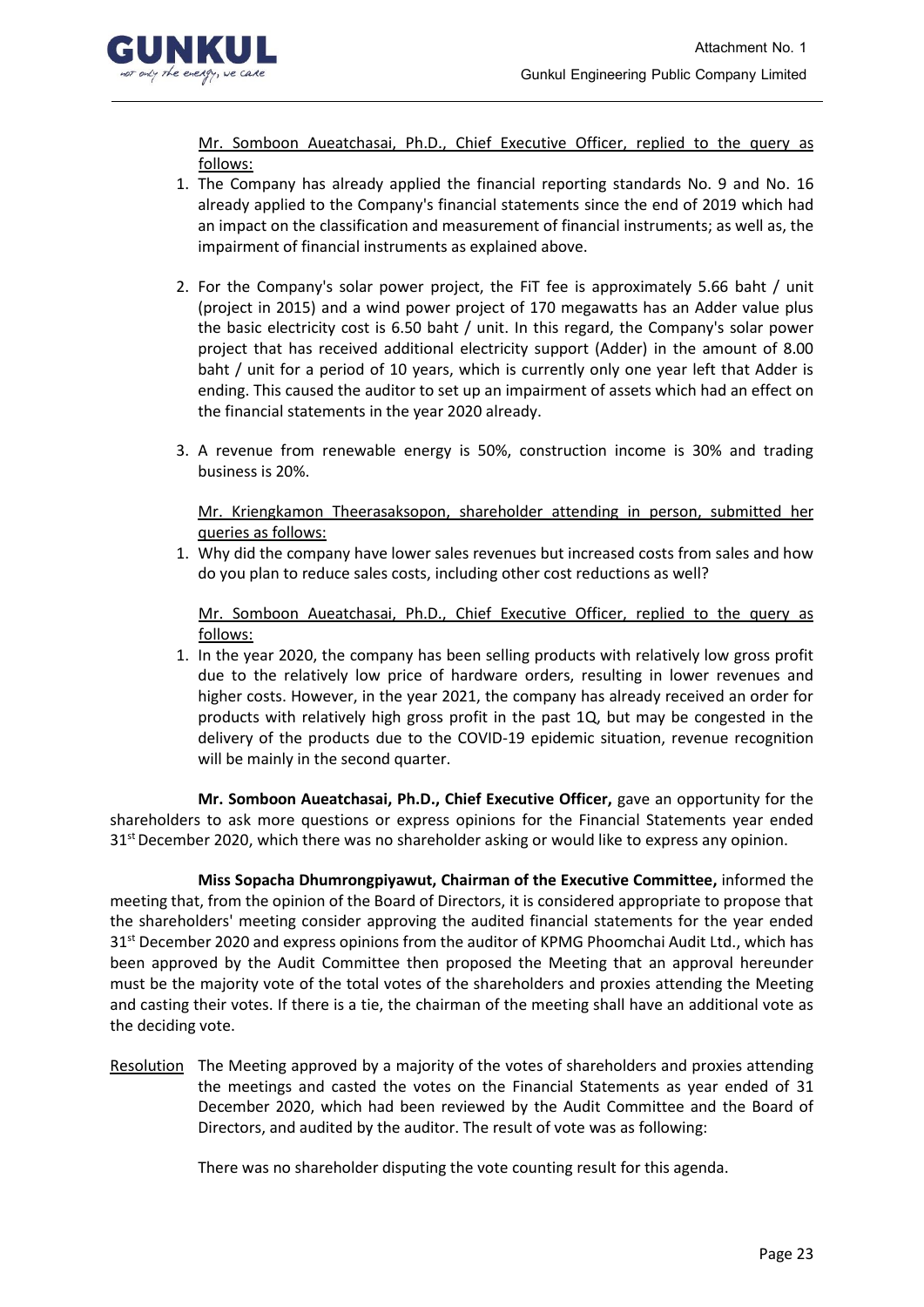

Mr. Somboon Aueatchasai, Ph.D., Chief Executive Officer, replied to the query as follows:

- 1. The Company has already applied the financial reporting standards No. 9 and No. 16 already applied to the Company's financial statements since the end of 2019 which had an impact on the classification and measurement of financial instruments; as well as, the impairment of financial instruments as explained above.
- 2. For the Company's solar power project, the FiT fee is approximately 5.66 baht / unit (project in 2015) and a wind power project of 170 megawatts has an Adder value plus the basic electricity cost is 6.50 baht / unit. In this regard, the Company's solar power project that has received additional electricity support (Adder) in the amount of 8.00 baht / unit for a period of 10 years, which is currently only one year left that Adder is ending. This caused the auditor to set up an impairment of assets which had an effect on the financial statements in the year 2020 already.
- 3. A revenue from renewable energy is 50%, construction income is 30% and trading business is 20%.

Mr. Kriengkamon Theerasaksopon, shareholder attending in person, submitted her queries as follows:

1. Why did the company have lower sales revenues but increased costs from sales and how do you plan to reduce sales costs, including other cost reductions as well?

Mr. Somboon Aueatchasai, Ph.D., Chief Executive Officer, replied to the query as follows:

1. In the year 2020, the company has been selling products with relatively low gross profit due to the relatively low price of hardware orders, resulting in lower revenues and higher costs. However, in the year 2021, the company has already received an order for products with relatively high gross profit in the past 1Q, but may be congested in the delivery of the products due to the COVID-19 epidemic situation, revenue recognition will be mainly in the second quarter.

**Mr. Somboon Aueatchasai, Ph.D., Chief Executive Officer,** gave an opportunity for the shareholders to ask more questions or express opinions for the Financial Statements year ended  $31<sup>st</sup>$  December 2020, which there was no shareholder asking or would like to express any opinion.

**Miss Sopacha Dhumrongpiyawut, Chairman of the Executive Committee,** informed the meeting that, from the opinion of the Board of Directors, it is considered appropriate to propose that the shareholders' meeting consider approving the audited financial statements for the year ended 31<sup>st</sup> December 2020 and express opinions from the auditor of KPMG Phoomchai Audit Ltd., which has been approved by the Audit Committee then proposed the Meeting that an approval hereunder must be the majority vote of the total votes of the shareholders and proxies attending the Meeting and casting their votes. If there is a tie, the chairman of the meeting shall have an additional vote as the deciding vote.

Resolution The Meeting approved by a majority of the votes of shareholders and proxies attending the meetings and casted the votes on the Financial Statements as year ended of 31 December 2020, which had been reviewed by the Audit Committee and the Board of Directors, and audited by the auditor. The result of vote was as following:

There was no shareholder disputing the vote counting result for this agenda.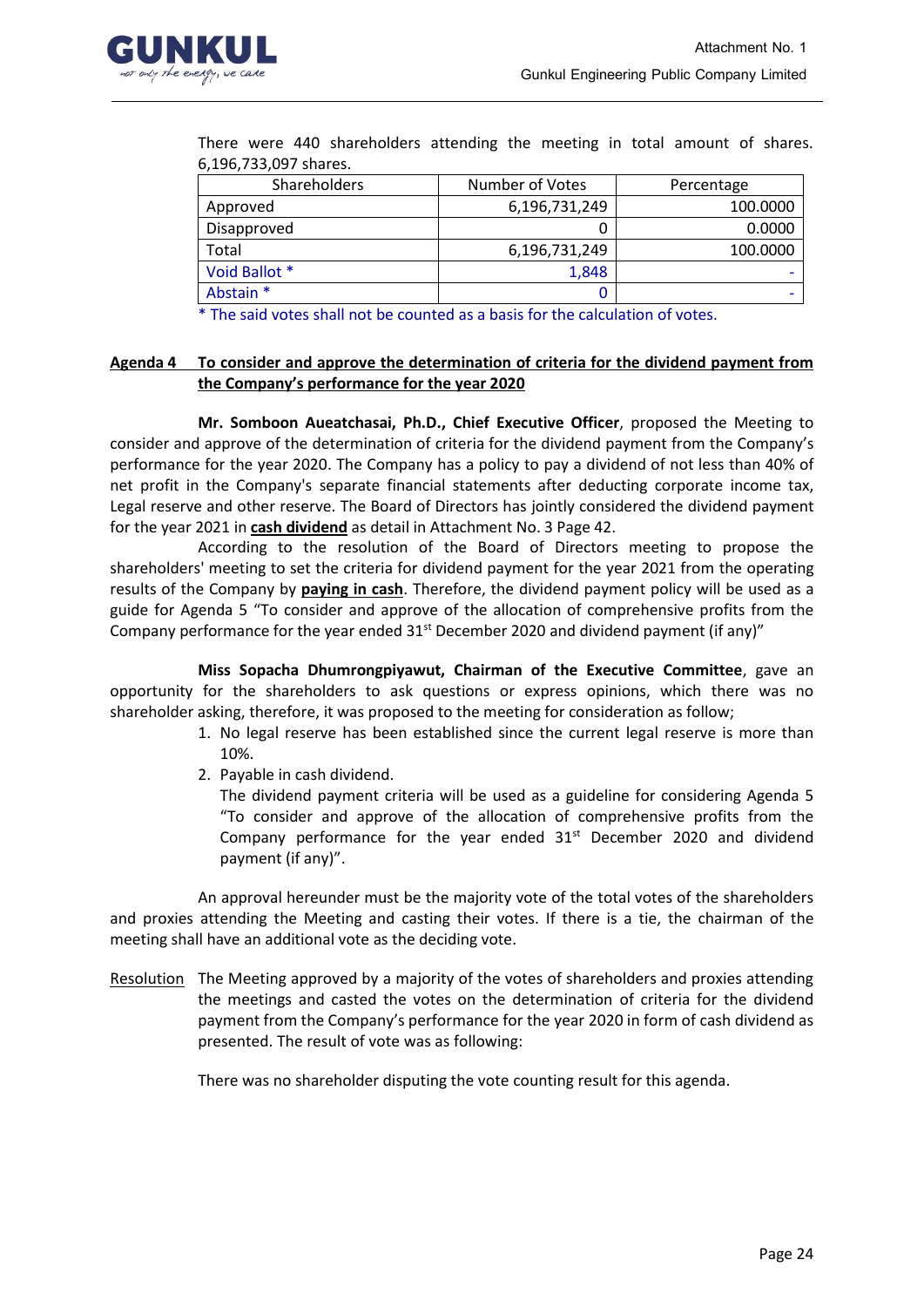

| 6,196,733,097 shares. |                 |            |  |  |  |
|-----------------------|-----------------|------------|--|--|--|
| <b>Shareholders</b>   | Number of Votes | Percentage |  |  |  |
| Approved              | 6,196,731,249   | 100.0000   |  |  |  |
| Disapproved           |                 | 0.0000     |  |  |  |
| Total                 | 6,196,731,249   | 100.0000   |  |  |  |

Abstain \* 0 -

There were 440 shareholders attending the meeting in total amount of shares.

The said votes shall not be counted as a basis for the calculation of votes.

Void Ballot \* 1,848

## **Agenda 4 To consider and approve the determination of criteria for the dividend payment from the Company's performance for the year 2020**

**Mr. Somboon Aueatchasai, Ph.D., Chief Executive Officer**, proposed the Meeting to consider and approve of the determination of criteria for the dividend payment from the Company's performance for the year 2020. The Company has a policy to pay a dividend of not less than 40% of net profit in the Company's separate financial statements after deducting corporate income tax, Legal reserve and other reserve. The Board of Directors has jointly considered the dividend payment for the year 2021 in **cash dividend** as detail in Attachment No. 3 Page 42.

According to the resolution of the Board of Directors meeting to propose the shareholders' meeting to set the criteria for dividend payment for the year 2021 from the operating results of the Company by **paying in cash**. Therefore, the dividend payment policy will be used as a guide for Agenda 5 "To consider and approve of the allocation of comprehensive profits from the Company performance for the year ended  $31^{st}$  December 2020 and dividend payment (if any)"

**Miss Sopacha Dhumrongpiyawut, Chairman of the Executive Committee**, gave an opportunity for the shareholders to ask questions or express opinions, which there was no shareholder asking, therefore, it was proposed to the meeting for consideration as follow;

- 1. No legal reserve has been established since the current legal reserve is more than 10%.
- 2. Payable in cash dividend.

The dividend payment criteria will be used as a guideline for considering Agenda 5 "To consider and approve of the allocation of comprehensive profits from the Company performance for the year ended  $31<sup>st</sup>$  December 2020 and dividend payment (if any)".

An approval hereunder must be the majority vote of the total votes of the shareholders and proxies attending the Meeting and casting their votes. If there is a tie, the chairman of the meeting shall have an additional vote as the deciding vote.

Resolution The Meeting approved by a majority of the votes of shareholders and proxies attending the meetings and casted the votes on the determination of criteria for the dividend payment from the Company's performance for the year 2020 in form of cash dividend as presented. The result of vote was as following:

There was no shareholder disputing the vote counting result for this agenda.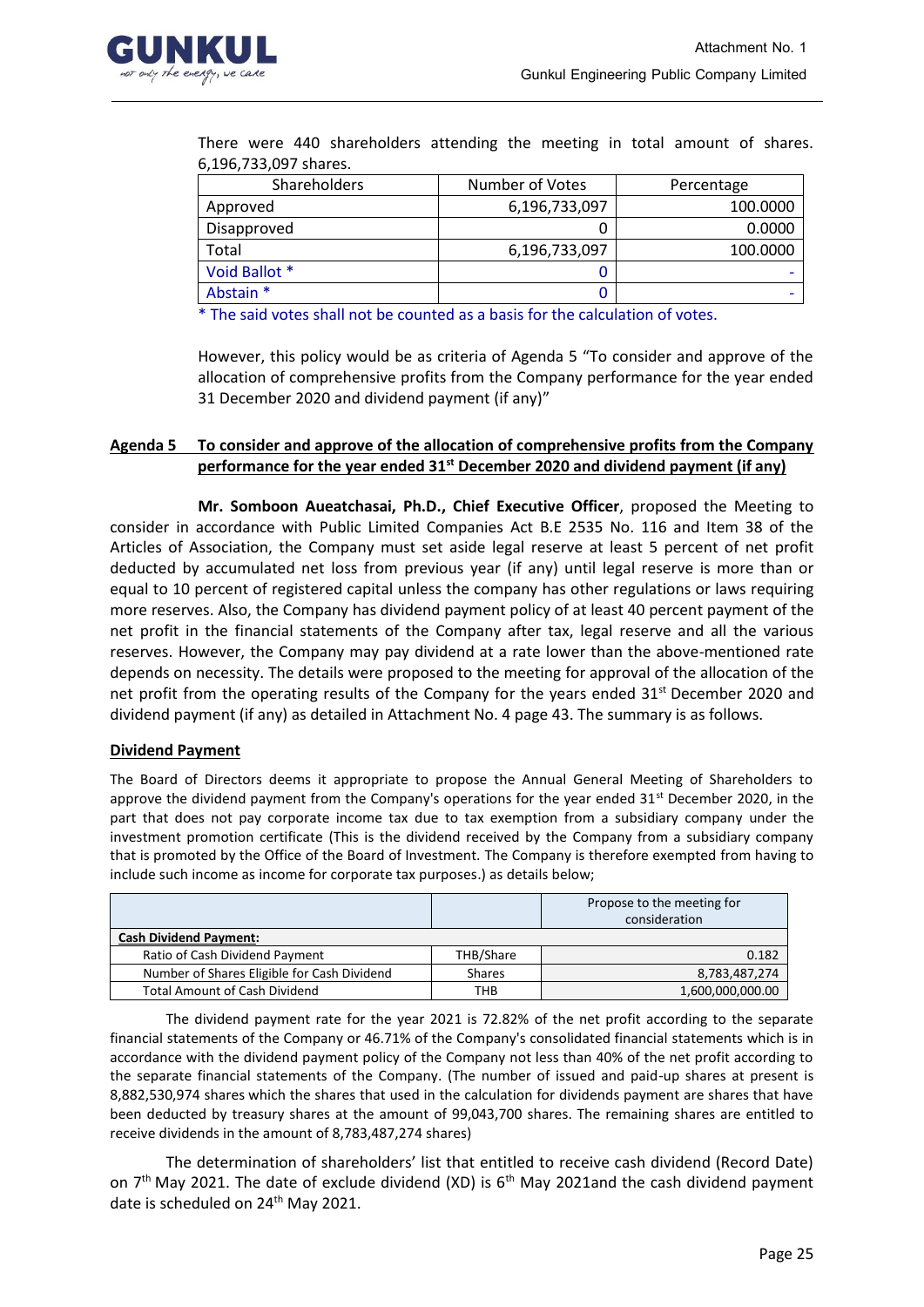

|                       |  | There were 440 shareholders attending the meeting in total amount of shares. |  |  |  |  |  |
|-----------------------|--|------------------------------------------------------------------------------|--|--|--|--|--|
| 6,196,733,097 shares. |  |                                                                              |  |  |  |  |  |

| <b>Shareholders</b> | Number of Votes | Percentage |
|---------------------|-----------------|------------|
| Approved            | 6,196,733,097   | 100.0000   |
| Disapproved         |                 | 0.0000     |
| Total               | 6,196,733,097   | 100.0000   |
| Void Ballot *       |                 |            |
| Abstain *           |                 |            |

\* The said votes shall not be counted as a basis for the calculation of votes.

However, this policy would be as criteria of Agenda 5 "To consider and approve of the allocation of comprehensive profits from the Company performance for the year ended 31 December 2020 and dividend payment (if any)"

## **Agenda 5 To consider and approve of the allocation of comprehensive profits from the Company performance for the year ended 31st December 2020 and dividend payment (if any)**

**Mr. Somboon Aueatchasai, Ph.D., Chief Executive Officer**, proposed the Meeting to consider in accordance with Public Limited Companies Act B.E 2535 No. 116 and Item 38 of the Articles of Association, the Company must set aside legal reserve at least 5 percent of net profit deducted by accumulated net loss from previous year (if any) until legal reserve is more than or equal to 10 percent of registered capital unless the company has other regulations or laws requiring more reserves. Also, the Company has dividend payment policy of at least 40 percent payment of the net profit in the financial statements of the Company after tax, legal reserve and all the various reserves. However, the Company may pay dividend at a rate lower than the above-mentioned rate depends on necessity. The details were proposed to the meeting for approval of the allocation of the net profit from the operating results of the Company for the years ended 31<sup>st</sup> December 2020 and dividend payment (if any) as detailed in Attachment No. 4 page 43. The summary is as follows.

## **Dividend Payment**

The Board of Directors deems it appropriate to propose the Annual General Meeting of Shareholders to approve the dividend payment from the Company's operations for the year ended 31<sup>st</sup> December 2020, in the part that does not pay corporate income tax due to tax exemption from a subsidiary company under the investment promotion certificate (This is the dividend received by the Company from a subsidiary company that is promoted by the Office of the Board of Investment. The Company is therefore exempted from having to include such income as income for corporate tax purposes.) as details below;

|                                             |               | Propose to the meeting for<br>consideration |
|---------------------------------------------|---------------|---------------------------------------------|
| <b>Cash Dividend Payment:</b>               |               |                                             |
| Ratio of Cash Dividend Payment              | THB/Share     | 0.182                                       |
| Number of Shares Eligible for Cash Dividend | <b>Shares</b> | 8,783,487,274                               |
| <b>Total Amount of Cash Dividend</b>        | тнв           | 1,600,000,000.00                            |

The dividend payment rate for the year 2021 is 72.82% of the net profit according to the separate financial statements of the Company or 46.71% of the Company's consolidated financial statements which is in accordance with the dividend payment policy of the Company not less than 40% of the net profit according to the separate financial statements of the Company. (The number of issued and paid-up shares at present is 8,882,530,974 shares which the shares that used in the calculation for dividends payment are shares that have been deducted by treasury shares at the amount of 99,043,700 shares. The remaining shares are entitled to receive dividends in the amount of 8,783,487,274 shares)

The determination of shareholders' list that entitled to receive cash dividend (Record Date) on 7<sup>th</sup> May 2021. The date of exclude dividend (XD) is 6<sup>th</sup> May 2021and the cash dividend payment date is scheduled on 24<sup>th</sup> May 2021.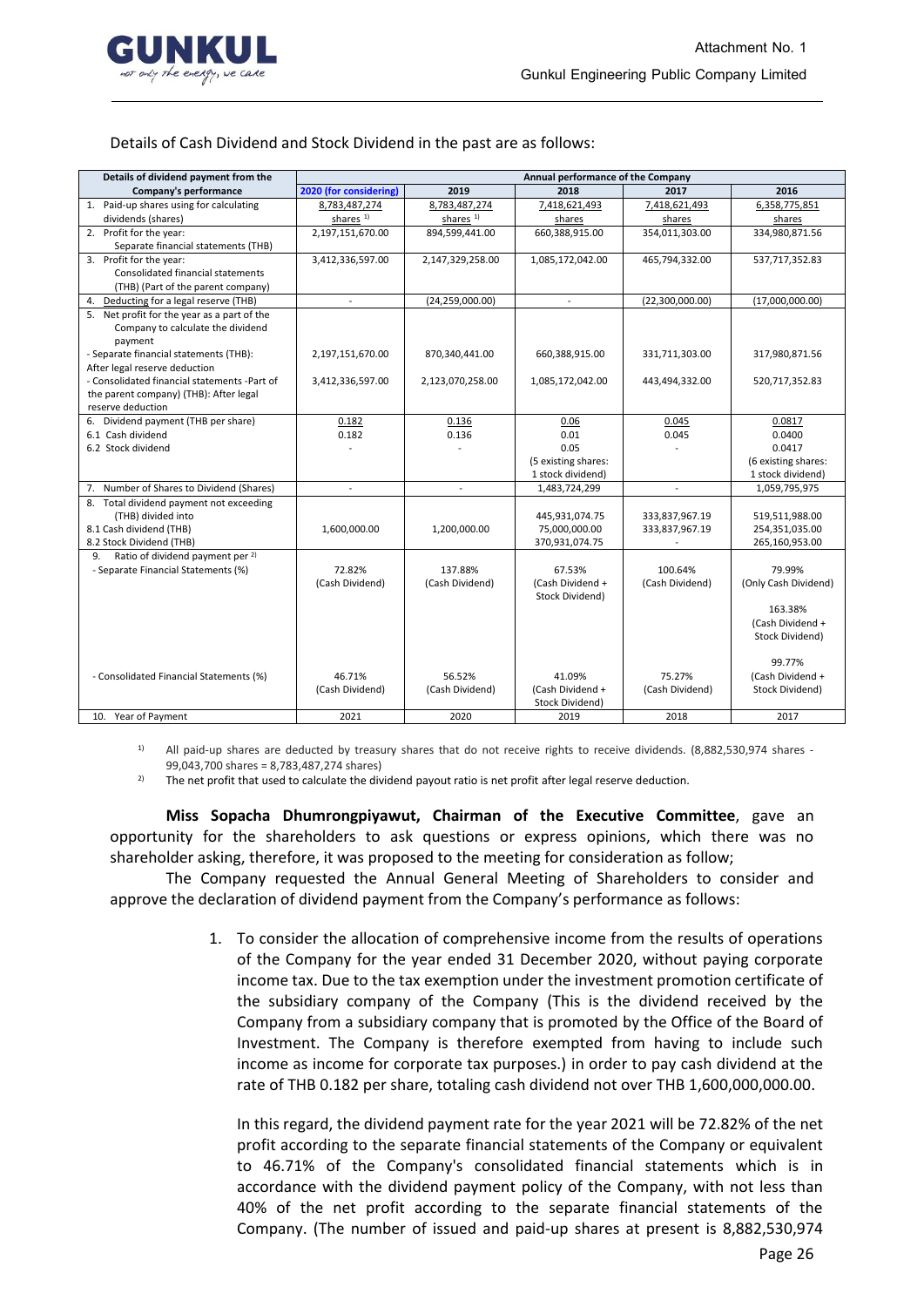

### Details of Cash Dividend and Stock Dividend in the past are as follows:

| Details of dividend payment from the              | Annual performance of the Company |                          |                     |                 |                      |
|---------------------------------------------------|-----------------------------------|--------------------------|---------------------|-----------------|----------------------|
| Company's performance                             | 2020 (for considering)            | 2019                     | 2018                | 2017            | 2016                 |
| 1. Paid-up shares using for calculating           | 8,783,487,274                     | 8,783,487,274            | 7,418,621,493       | 7,418,621,493   | 6,358,775,851        |
| dividends (shares)                                | shares <sup>1)</sup>              | shares <sup>1)</sup>     | shares              | shares          | shares               |
| 2. Profit for the year:                           | 2,197,151,670.00                  | 894,599,441.00           | 660,388,915.00      | 354,011,303.00  | 334,980,871.56       |
| Separate financial statements (THB)               |                                   |                          |                     |                 |                      |
| 3. Profit for the year:                           | 3,412,336,597.00                  | 2,147,329,258.00         | 1,085,172,042.00    | 465,794,332.00  | 537,717,352.83       |
| Consolidated financial statements                 |                                   |                          |                     |                 |                      |
| (THB) (Part of the parent company)                |                                   |                          |                     |                 |                      |
| 4. Deducting for a legal reserve (THB)            |                                   | (24, 259, 000.00)        |                     | (22,300,000.00) | (17,000,000.00)      |
| 5. Net profit for the year as a part of the       |                                   |                          |                     |                 |                      |
| Company to calculate the dividend                 |                                   |                          |                     |                 |                      |
| payment                                           |                                   |                          |                     |                 |                      |
| - Separate financial statements (THB):            | 2,197,151,670.00                  | 870,340,441.00           | 660,388,915.00      | 331,711,303.00  | 317,980,871.56       |
| After legal reserve deduction                     |                                   |                          |                     |                 |                      |
| - Consolidated financial statements -Part of      | 3,412,336,597.00                  | 2,123,070,258.00         | 1,085,172,042.00    | 443,494,332.00  | 520,717,352.83       |
| the parent company) (THB): After legal            |                                   |                          |                     |                 |                      |
| reserve deduction                                 |                                   |                          |                     |                 |                      |
| 6. Dividend payment (THB per share)               | 0.182                             | 0.136                    | 0.06                | 0.045           | 0.0817               |
| 6.1 Cash dividend                                 | 0.182                             | 0.136                    | 0.01                | 0.045           | 0.0400               |
| 6.2 Stock dividend                                |                                   |                          | 0.05                |                 | 0.0417               |
|                                                   |                                   |                          | (5 existing shares: |                 | (6 existing shares:  |
|                                                   |                                   |                          | 1 stock dividend)   |                 | 1 stock dividend)    |
| 7. Number of Shares to Dividend (Shares)          | $\sim$                            | $\overline{\phantom{a}}$ | 1,483,724,299       | $\sim$          | 1,059,795,975        |
| 8. Total dividend payment not exceeding           |                                   |                          |                     |                 |                      |
| (THB) divided into                                |                                   |                          | 445,931,074.75      | 333,837,967.19  | 519,511,988.00       |
| 8.1 Cash dividend (THB)                           | 1,600,000.00                      | 1,200,000.00             | 75,000,000.00       | 333,837,967.19  | 254,351,035.00       |
| 8.2 Stock Dividend (THB)                          |                                   |                          | 370,931,074.75      |                 | 265,160,953.00       |
| Ratio of dividend payment per <sup>2)</sup><br>9. |                                   |                          |                     |                 |                      |
| - Separate Financial Statements (%)               | 72.82%                            | 137.88%                  | 67.53%              | 100.64%         | 79.99%               |
|                                                   | (Cash Dividend)                   | (Cash Dividend)          | (Cash Dividend +    | (Cash Dividend) | (Only Cash Dividend) |
|                                                   |                                   |                          | Stock Dividend)     |                 |                      |
|                                                   |                                   |                          |                     |                 | 163.38%              |
|                                                   |                                   |                          |                     |                 | (Cash Dividend +     |
|                                                   |                                   |                          |                     |                 | Stock Dividend)      |
|                                                   |                                   |                          |                     |                 |                      |
|                                                   |                                   |                          |                     |                 | 99.77%               |
| - Consolidated Financial Statements (%)           | 46.71%                            | 56.52%                   | 41.09%              | 75.27%          | (Cash Dividend +     |
|                                                   | (Cash Dividend)                   | (Cash Dividend)          | (Cash Dividend +    | (Cash Dividend) | Stock Dividend)      |
|                                                   |                                   |                          | Stock Dividend)     |                 |                      |
| 10. Year of Payment                               | 2021                              | 2020                     | 2019                | 2018            | 2017                 |

<sup>1)</sup> All paid-up shares are deducted by treasury shares that do not receive rights to receive dividends. (8,882,530,974 shares -99,043,700 shares = 8,783,487,274 shares)

<sup>2)</sup> The net profit that used to calculate the dividend payout ratio is net profit after legal reserve deduction.

**Miss Sopacha Dhumrongpiyawut, Chairman of the Executive Committee**, gave an opportunity for the shareholders to ask questions or express opinions, which there was no shareholder asking, therefore, it was proposed to the meeting for consideration as follow;

The Company requested the Annual General Meeting of Shareholders to consider and approve the declaration of dividend payment from the Company's performance as follows:

> 1. To consider the allocation of comprehensive income from the results of operations of the Company for the year ended 31 December 2020, without paying corporate income tax. Due to the tax exemption under the investment promotion certificate of the subsidiary company of the Company (This is the dividend received by the Company from a subsidiary company that is promoted by the Office of the Board of Investment. The Company is therefore exempted from having to include such income as income for corporate tax purposes.) in order to pay cash dividend at the rate of THB 0.182 per share, totaling cash dividend not over THB 1,600,000,000.00.

In this regard, the dividend payment rate for the year 2021 will be 72.82% of the net profit according to the separate financial statements of the Company or equivalent to 46.71% of the Company's consolidated financial statements which is in accordance with the dividend payment policy of the Company, with not less than 40% of the net profit according to the separate financial statements of the Company. (The number of issued and paid-up shares at present is 8,882,530,974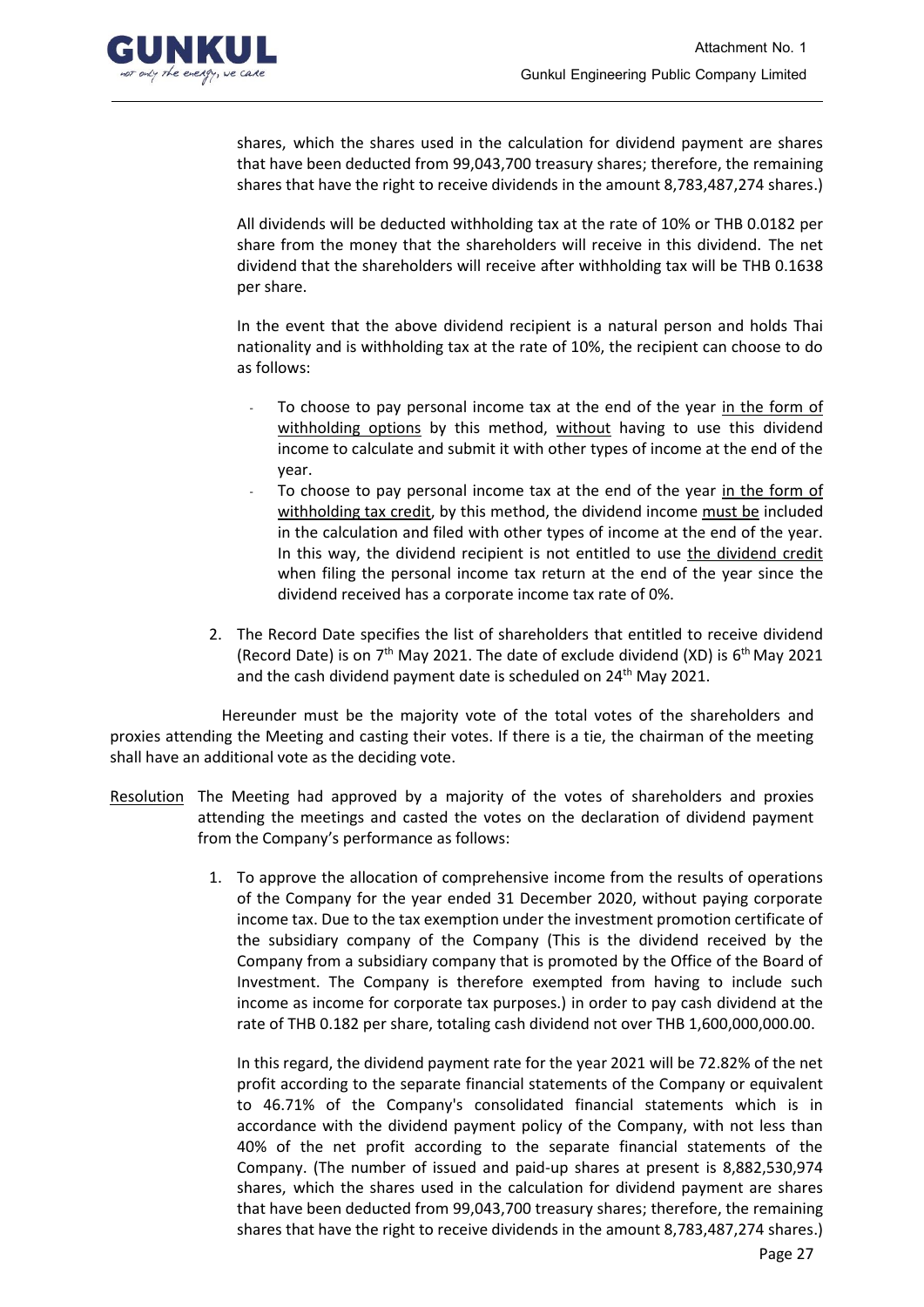

shares, which the shares used in the calculation for dividend payment are shares that have been deducted from 99,043,700 treasury shares; therefore, the remaining shares that have the right to receive dividends in the amount 8,783,487,274 shares.)

All dividends will be deducted withholding tax at the rate of 10% or THB 0.0182 per share from the money that the shareholders will receive in this dividend. The net dividend that the shareholders will receive after withholding tax will be THB 0.1638 per share.

In the event that the above dividend recipient is a natural person and holds Thai nationality and is withholding tax at the rate of 10%, the recipient can choose to do as follows:

- To choose to pay personal income tax at the end of the year in the form of withholding options by this method, without having to use this dividend income to calculate and submit it with other types of income at the end of the year.
- To choose to pay personal income tax at the end of the year in the form of withholding tax credit, by this method, the dividend income must be included in the calculation and filed with other types of income at the end of the year. In this way, the dividend recipient is not entitled to use the dividend credit when filing the personal income tax return at the end of the year since the dividend received has a corporate income tax rate of 0%.
- 2. The Record Date specifies the list of shareholders that entitled to receive dividend (Record Date) is on 7<sup>th</sup> May 2021. The date of exclude dividend (XD) is 6<sup>th</sup> May 2021 and the cash dividend payment date is scheduled on 24<sup>th</sup> May 2021.

Hereunder must be the majority vote of the total votes of the shareholders and proxies attending the Meeting and casting their votes. If there is a tie, the chairman of the meeting shall have an additional vote as the deciding vote.

- Resolution The Meeting had approved by a majority of the votes of shareholders and proxies attending the meetings and casted the votes on the declaration of dividend payment from the Company's performance as follows:
	- 1. To approve the allocation of comprehensive income from the results of operations of the Company for the year ended 31 December 2020, without paying corporate income tax. Due to the tax exemption under the investment promotion certificate of the subsidiary company of the Company (This is the dividend received by the Company from a subsidiary company that is promoted by the Office of the Board of Investment. The Company is therefore exempted from having to include such income as income for corporate tax purposes.) in order to pay cash dividend at the rate of THB 0.182 per share, totaling cash dividend not over THB 1,600,000,000.00.

In this regard, the dividend payment rate for the year 2021 will be 72.82% of the net profit according to the separate financial statements of the Company or equivalent to 46.71% of the Company's consolidated financial statements which is in accordance with the dividend payment policy of the Company, with not less than 40% of the net profit according to the separate financial statements of the Company. (The number of issued and paid-up shares at present is 8,882,530,974 shares, which the shares used in the calculation for dividend payment are shares that have been deducted from 99,043,700 treasury shares; therefore, the remaining shares that have the right to receive dividends in the amount 8,783,487,274 shares.)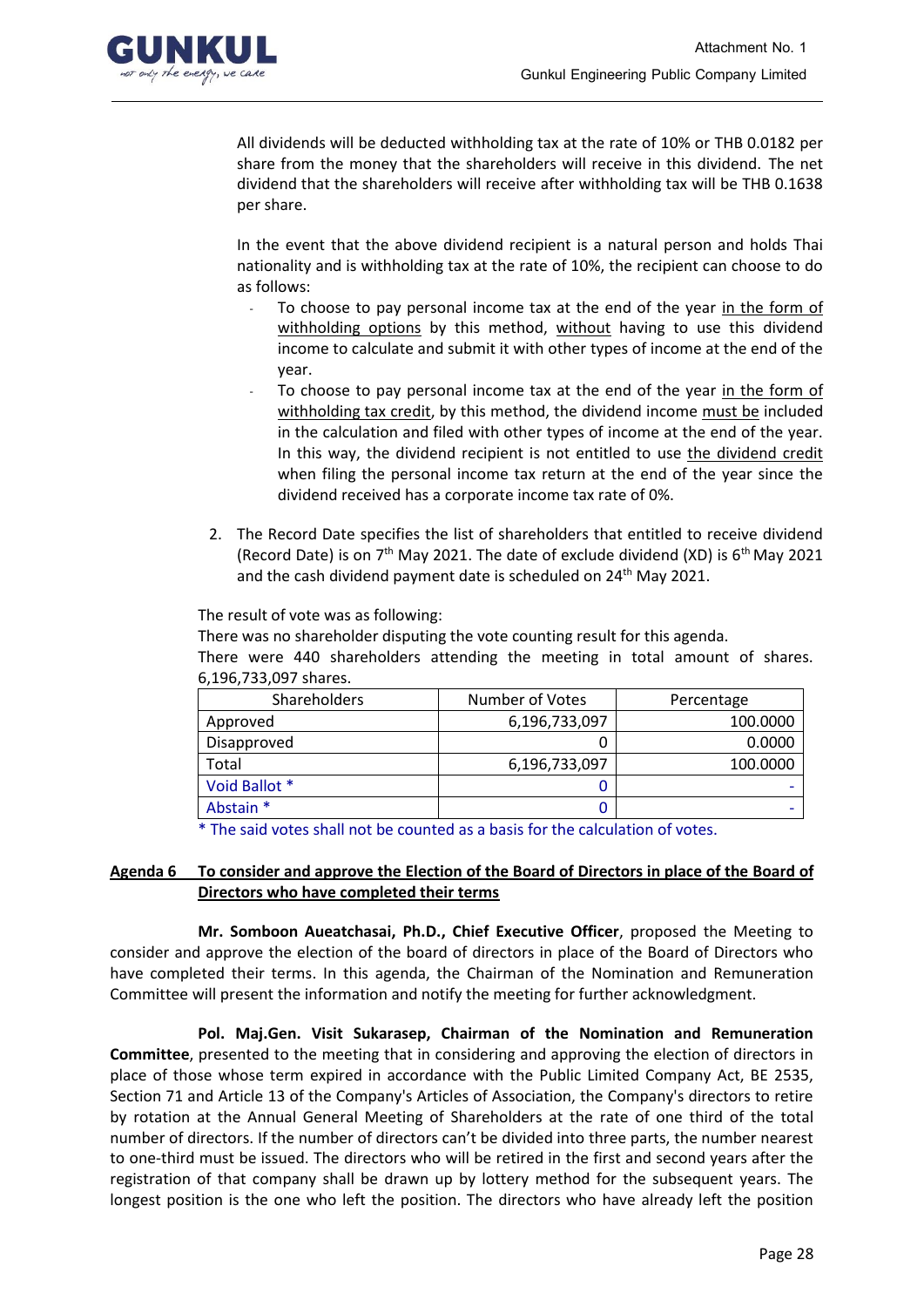

All dividends will be deducted withholding tax at the rate of 10% or THB 0.0182 per share from the money that the shareholders will receive in this dividend. The net dividend that the shareholders will receive after withholding tax will be THB 0.1638 per share.

In the event that the above dividend recipient is a natural person and holds Thai nationality and is withholding tax at the rate of 10%, the recipient can choose to do as follows:

- To choose to pay personal income tax at the end of the year in the form of withholding options by this method, without having to use this dividend income to calculate and submit it with other types of income at the end of the year.
- To choose to pay personal income tax at the end of the year in the form of withholding tax credit, by this method, the dividend income must be included in the calculation and filed with other types of income at the end of the year. In this way, the dividend recipient is not entitled to use the dividend credit when filing the personal income tax return at the end of the year since the dividend received has a corporate income tax rate of 0%.
- 2. The Record Date specifies the list of shareholders that entitled to receive dividend (Record Date) is on  $7<sup>th</sup>$  May 2021. The date of exclude dividend (XD) is  $6<sup>th</sup>$  May 2021 and the cash dividend payment date is scheduled on  $24<sup>th</sup>$  May 2021.

The result of vote was as following:

There was no shareholder disputing the vote counting result for this agenda. There were 440 shareholders attending the meeting in total amount of shares. 6,196,733,097 shares.

| <b>Shareholders</b> | Number of Votes | Percentage |  |
|---------------------|-----------------|------------|--|
| Approved            | 6,196,733,097   | 100.0000   |  |
| Disapproved         | Ü               | 0.0000     |  |
| Total               | 6,196,733,097   | 100.0000   |  |
| Void Ballot *       |                 |            |  |
| Abstain *           |                 |            |  |

\* The said votes shall not be counted as a basis for the calculation of votes.

## **Agenda 6 To consider and approve the Election of the Board of Directors in place of the Board of Directors who have completed their terms**

**Mr. Somboon Aueatchasai, Ph.D., Chief Executive Officer**, proposed the Meeting to consider and approve the election of the board of directors in place of the Board of Directors who have completed their terms. In this agenda, the Chairman of the Nomination and Remuneration Committee will present the information and notify the meeting for further acknowledgment.

**Pol. Maj.Gen. Visit Sukarasep, Chairman of the Nomination and Remuneration Committee**, presented to the meeting that in considering and approving the election of directors in place of those whose term expired in accordance with the Public Limited Company Act, BE 2535, Section 71 and Article 13 of the Company's Articles of Association, the Company's directors to retire by rotation at the Annual General Meeting of Shareholders at the rate of one third of the total number of directors. If the number of directors can't be divided into three parts, the number nearest to one-third must be issued. The directors who will be retired in the first and second years after the registration of that company shall be drawn up by lottery method for the subsequent years. The longest position is the one who left the position. The directors who have already left the position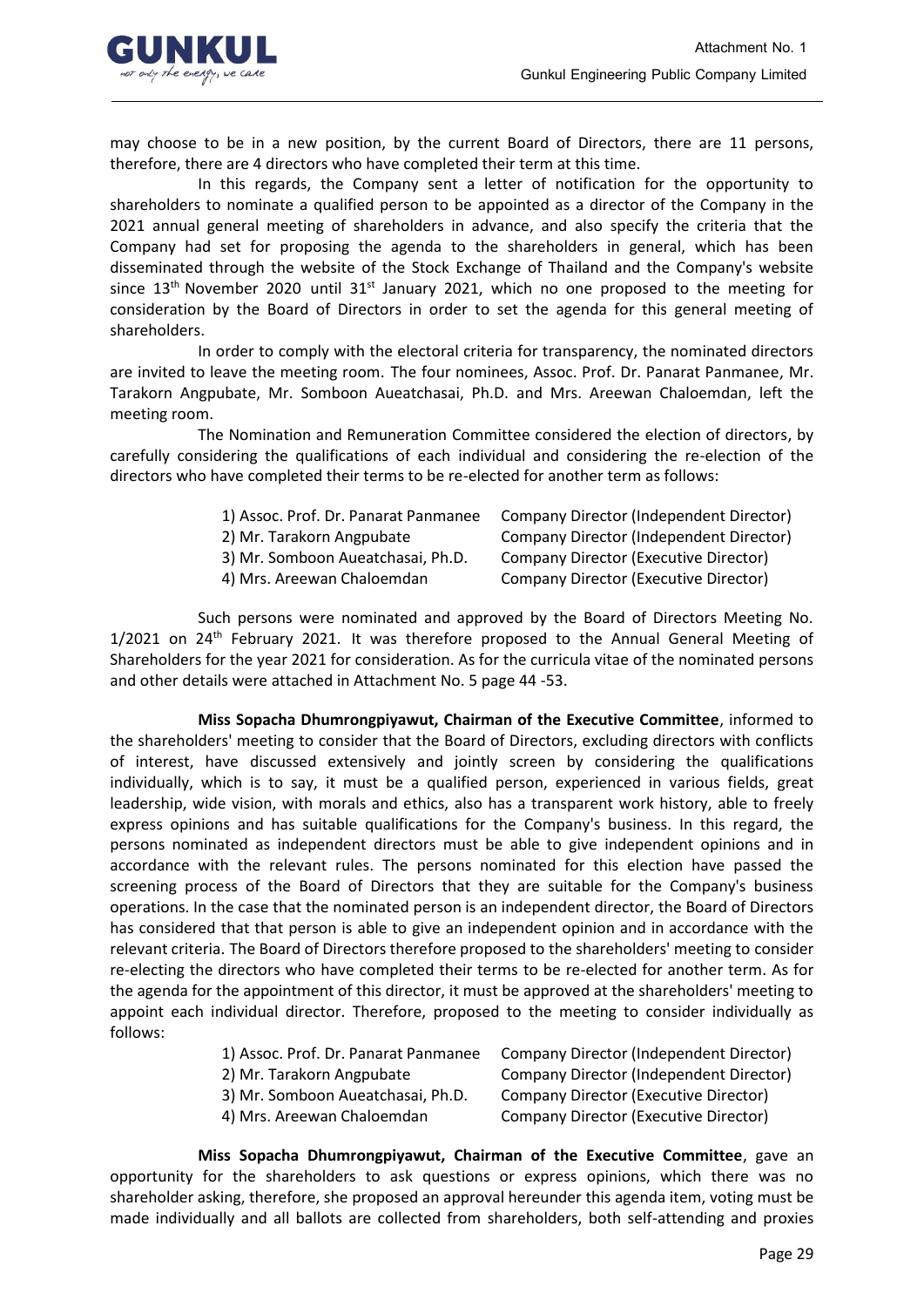

may choose to be in a new position, by the current Board of Directors, there are 11 persons, therefore, there are 4 directors who have completed their term at this time.

In this regards, the Company sent a letter of notification for the opportunity to shareholders to nominate a qualified person to be appointed as a director of the Company in the 2021 annual general meeting of shareholders in advance, and also specify the criteria that the Company had set for proposing the agenda to the shareholders in general, which has been disseminated through the website of the Stock Exchange of Thailand and the Company's website since  $13<sup>th</sup>$  November 2020 until  $31<sup>st</sup>$  January 2021, which no one proposed to the meeting for consideration by the Board of Directors in order to set the agenda for this general meeting of shareholders.

In order to comply with the electoral criteria for transparency, the nominated directors are invited to leave the meeting room. The four nominees, Assoc. Prof. Dr. Panarat Panmanee, Mr. Tarakorn Angpubate, Mr. Somboon Aueatchasai, Ph.D. and Mrs. Areewan Chaloemdan, left the meeting room.

The Nomination and Remuneration Committee considered the election of directors, by carefully considering the qualifications of each individual and considering the re-election of the directors who have completed their terms to be re-elected for another term as follows:

| 1) Assoc. Prof. Dr. Panarat Panmanee | Company Director (Independent Director) |
|--------------------------------------|-----------------------------------------|
| 2) Mr. Tarakorn Angpubate            | Company Director (Independent Director) |
| 3) Mr. Somboon Aueatchasai, Ph.D.    | Company Director (Executive Director)   |
| 4) Mrs. Areewan Chaloemdan           | Company Director (Executive Director)   |

Such persons were nominated and approved by the Board of Directors Meeting No.  $1/2021$  on  $24<sup>th</sup>$  February 2021. It was therefore proposed to the Annual General Meeting of Shareholders for the year 2021 for consideration. As for the curricula vitae of the nominated persons and other details were attached in Attachment No. 5 page 44 -53.

**Miss Sopacha Dhumrongpiyawut, Chairman of the Executive Committee**, informed to the shareholders' meeting to consider that the Board of Directors, excluding directors with conflicts of interest, have discussed extensively and jointly screen by considering the qualifications individually, which is to say, it must be a qualified person, experienced in various fields, great leadership, wide vision, with morals and ethics, also has a transparent work history, able to freely express opinions and has suitable qualifications for the Company's business. In this regard, the persons nominated as independent directors must be able to give independent opinions and in accordance with the relevant rules. The persons nominated for this election have passed the screening process of the Board of Directors that they are suitable for the Company's business operations. In the case that the nominated person is an independent director, the Board of Directors has considered that that person is able to give an independent opinion and in accordance with the relevant criteria. The Board of Directors therefore proposed to the shareholders' meeting to consider re-electing the directors who have completed their terms to be re-elected for another term. As for the agenda for the appointment of this director, it must be approved at the shareholders' meeting to appoint each individual director. Therefore, proposed to the meeting to consider individually as follows:

| 1) Assoc. Prof. Dr. Panarat Panmanee | Company Director (Independent Director) |
|--------------------------------------|-----------------------------------------|
| 2) Mr. Tarakorn Angpubate            | Company Director (Independent Director) |
| 2) Mr. Samboon Augatchasai, Dh.D.    | Company Director (Executive Director)   |

3) Mr. Somboon Aueatchasai, Ph.D. Company Director (Executive Director) 4) Mrs. Areewan Chaloemdan Company Director (Executive Director)

**Miss Sopacha Dhumrongpiyawut, Chairman of the Executive Committee**, gave an opportunity for the shareholders to ask questions or express opinions, which there was no shareholder asking, therefore, she proposed an approval hereunder this agenda item, voting must be made individually and all ballots are collected from shareholders, both self-attending and proxies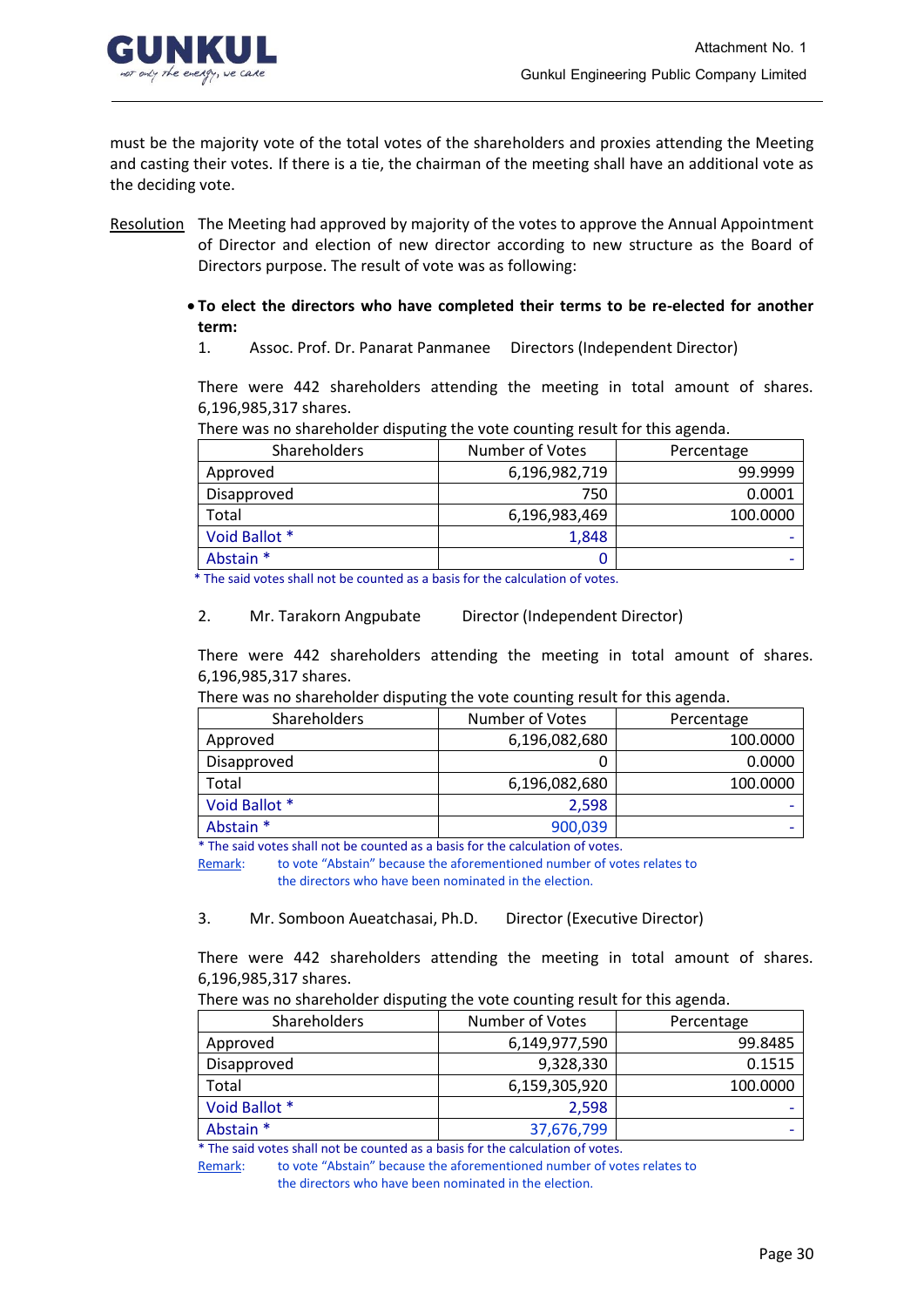

must be the majority vote of the total votes of the shareholders and proxies attending the Meeting and casting their votes. If there is a tie, the chairman of the meeting shall have an additional vote as the deciding vote.

- Resolution The Meeting had approved by majority of the votes to approve the Annual Appointment of Director and election of new director according to new structure as the Board of Directors purpose. The result of vote was as following:
	- **To elect the directors who have completed their terms to be re-elected for another term:**
		- 1. Assoc. Prof. Dr. Panarat Panmanee Directors (Independent Director)

There were 442 shareholders attending the meeting in total amount of shares. 6,196,985,317 shares.

There was no shareholder disputing the vote counting result for this agenda.

| <b>Shareholders</b> | Number of Votes | Percentage |
|---------------------|-----------------|------------|
| Approved            | 6,196,982,719   | 99.9999    |
| Disapproved         | 750             | 0.0001     |
| Total               | 6,196,983,469   | 100.0000   |
| Void Ballot *       | 1,848           |            |
| Abstain *           |                 |            |

\* The said votes shall not be counted as a basis for the calculation of votes.

#### 2. Mr. Tarakorn Angpubate Director (Independent Director)

There were 442 shareholders attending the meeting in total amount of shares. 6,196,985,317 shares.

| There was no shareholder disputing the vote counting result for this agenda. |  |  |  |
|------------------------------------------------------------------------------|--|--|--|
|------------------------------------------------------------------------------|--|--|--|

| Shareholders  | Number of Votes | Percentage |
|---------------|-----------------|------------|
| Approved      | 6,196,082,680   | 100.0000   |
| Disapproved   |                 | 0.0000     |
| Total         | 6,196,082,680   | 100.0000   |
| Void Ballot * | 2,598           |            |
| Abstain *     | 900,039         |            |

\* The said votes shall not be counted as a basis for the calculation of votes.

 Remark: to vote "Abstain" because the aforementioned number of votes relates to the directors who have been nominated in the election.

3. Mr. Somboon Aueatchasai, Ph.D. Director (Executive Director)

There were 442 shareholders attending the meeting in total amount of shares. 6,196,985,317 shares.

There was no shareholder disputing the vote counting result for this agenda.

| Shareholders  | Number of Votes | Percentage |
|---------------|-----------------|------------|
| Approved      | 6,149,977,590   | 99.8485    |
| Disapproved   | 9,328,330       | 0.1515     |
| Total         | 6,159,305,920   | 100.0000   |
| Void Ballot * | 2,598           |            |
| Abstain *     | 37,676,799      |            |

\* The said votes shall not be counted as a basis for the calculation of votes.

Remark: to vote "Abstain" because the aforementioned number of votes relates to the directors who have been nominated in the election.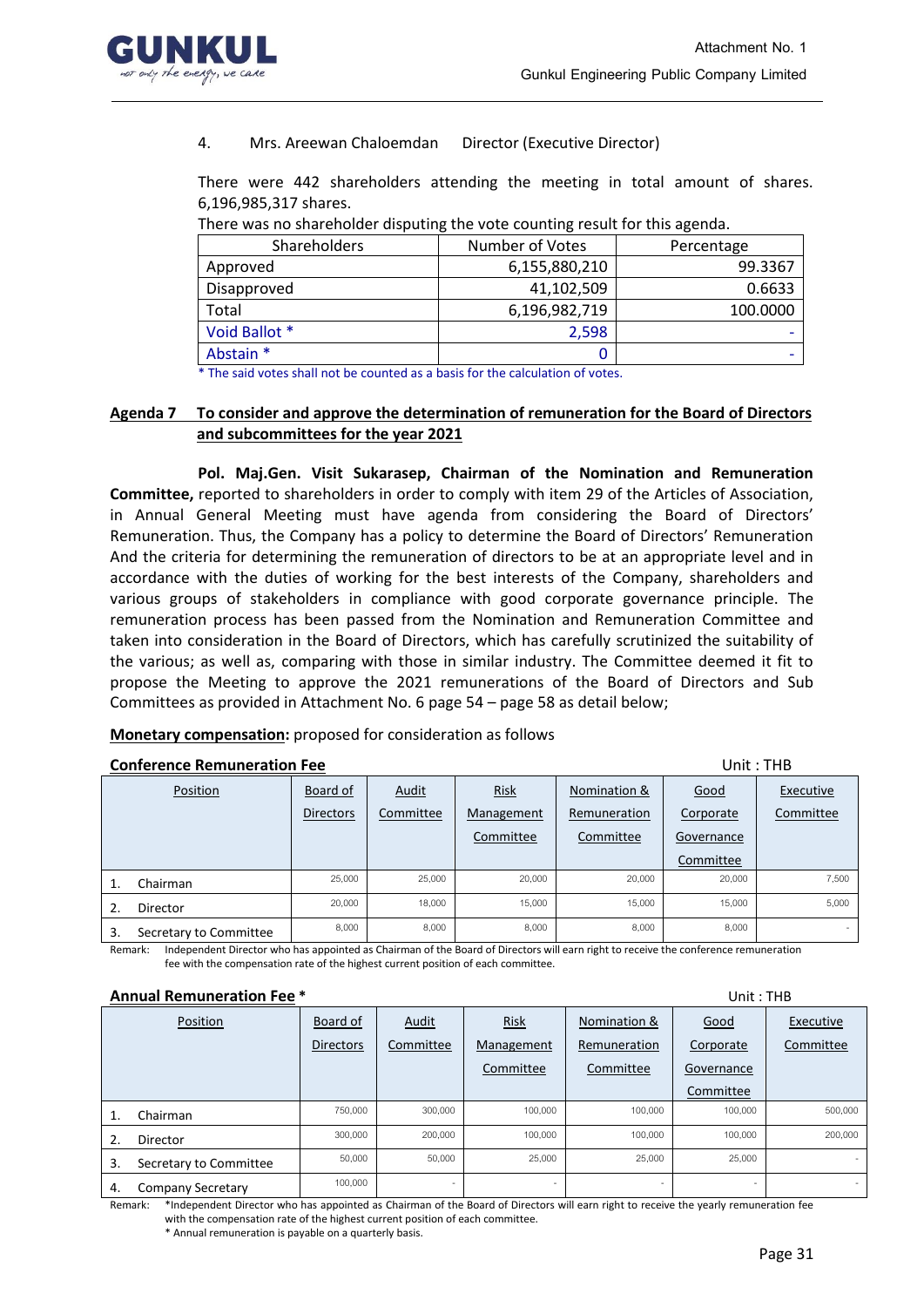

4. Mrs. Areewan Chaloemdan Director (Executive Director)

There were 442 shareholders attending the meeting in total amount of shares. 6,196,985,317 shares.

|                     | There was no shareholder alspathly the rote coanting resait for this agentari |            |  |  |  |
|---------------------|-------------------------------------------------------------------------------|------------|--|--|--|
| <b>Shareholders</b> | Number of Votes                                                               | Percentage |  |  |  |
| Approved            | 6,155,880,210                                                                 | 99.3367    |  |  |  |
| Disapproved         | 41,102,509                                                                    | 0.6633     |  |  |  |
| Total               | 6,196,982,719                                                                 | 100.0000   |  |  |  |
| Void Ballot *       | 2,598                                                                         |            |  |  |  |
| Abstain *           |                                                                               |            |  |  |  |

There was no shareholder disputing the vote counting result for this agenda.

\* The said votes shall not be counted as a basis for the calculation of votes.

### **Agenda 7 To consider and approve the determination of remuneration for the Board of Directors and subcommittees for the year 2021**

**Pol. Maj.Gen. Visit Sukarasep, Chairman of the Nomination and Remuneration Committee,** reported to shareholders in order to comply with item 29 of the Articles of Association, in Annual General Meeting must have agenda from considering the Board of Directors' Remuneration. Thus, the Company has a policy to determine the Board of Directors' Remuneration And the criteria for determining the remuneration of directors to be at an appropriate level and in accordance with the duties of working for the best interests of the Company, shareholders and various groups of stakeholders in compliance with good corporate governance principle. The remuneration process has been passed from the Nomination and Remuneration Committee and taken into consideration in the Board of Directors, which has carefully scrutinized the suitability of the various; as well as, comparing with those in similar industry. The Committee deemed it fit to propose the Meeting to approve the 2021 remunerations of the Board of Directors and Sub Committees as provided in Attachment No. 6 page 54 – page 58 as detail below;

#### **Monetary compensation:** proposed for consideration as follows

#### **Conference Remuneration Fee Unit : THB**

Position Board of Directors Audit Committee Risk **Management** Committee Nomination & **Remuneration** Committee Good **Corporate** Governance Committee **Executive** Committee **1. Chairman** 25,000 25,000 26,000 20,000 20,000 20,000 20,000 20,000 7,500 **2. Director** 20,000 18,000 15,000 15,000 15,000 15,000 15,000 5,000 3. Secretary to Committee 8,000 8,000 8,000 8,000 8,000 8,000 8,000

Remark: Independent Director who has appointed as Chairman of the Board of Directors will earn right to receive the conference remuneration fee with the compensation rate of the highest current position of each committee.

#### **Annual Remuneration Fee \*** Unit : THB

|    | Position                 | Board of         | <b>Audit</b> | <b>Risk</b> | Nomination & | Good       | Executive |
|----|--------------------------|------------------|--------------|-------------|--------------|------------|-----------|
|    |                          | <b>Directors</b> | Committee    | Management  | Remuneration | Corporate  | Committee |
|    |                          |                  |              | Committee   | Committee    | Governance |           |
|    |                          |                  |              |             |              | Committee  |           |
|    | Chairman                 | 750,000          | 300,000      | 100,000     | 100,000      | 100,000    | 500,000   |
| 2. | Director                 | 300,000          | 200,000      | 100,000     | 100,000      | 100,000    | 200,000   |
| 3. | Secretary to Committee   | 50,000           | 50,000       | 25,000      | 25,000       | 25,000     | $\sim$    |
| 4. | <b>Company Secretary</b> | 100,000          |              |             |              |            | $\sim$    |

Remark: \*Independent Director who has appointed as Chairman of the Board of Directors will earn right to receive the yearly remuneration fee with the compensation rate of the highest current position of each committee.

\* Annual remuneration is payable on a quarterly basis.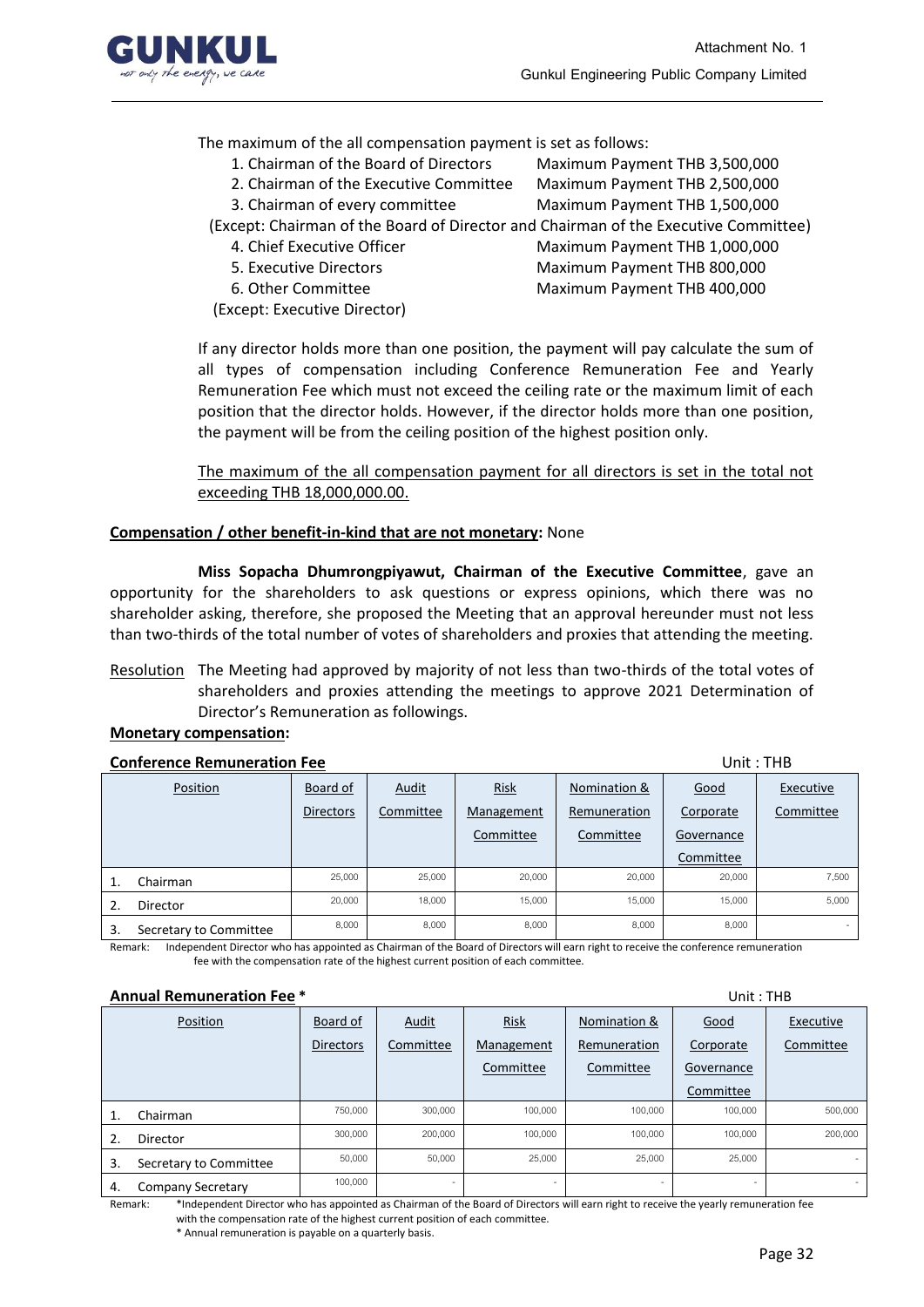

## The maximum of the all compensation payment is set as follows:

- 1. Chairman of the Board of Directors Maximum Payment THB 3,500,000
- 2. Chairman of the Executive Committee Maximum Payment THB 2,500,000
	-
- 3. Chairman of every committee Maximum Payment THB 1,500,000

(Except: Chairman of the Board of Director and Chairman of the Executive Committee)

- 
- 
- 
- (Except: Executive Director)
- 4. Chief Executive Officer Maximum Payment THB 1,000,000 5. Executive Directors Maximum Payment THB 800,000
- 6. Other Committee Maximum Payment THB 400,000

If any director holds more than one position, the payment will pay calculate the sum of all types of compensation including Conference Remuneration Fee and Yearly Remuneration Fee which must not exceed the ceiling rate or the maximum limit of each position that the director holds. However, if the director holds more than one position, the payment will be from the ceiling position of the highest position only.

The maximum of the all compensation payment for all directors is set in the total not exceeding THB 18,000,000.00.

## **Compensation / other benefit-in-kind that are not monetary:** None

**Miss Sopacha Dhumrongpiyawut, Chairman of the Executive Committee**, gave an opportunity for the shareholders to ask questions or express opinions, which there was no shareholder asking, therefore, she proposed the Meeting that an approval hereunder must not less than two-thirds of the total number of votes of shareholders and proxies that attending the meeting.

Resolution The Meeting had approved by majority of not less than two-thirds of the total votes of shareholders and proxies attending the meetings to approve 2021 Determination of Director's Remuneration as followings.

## **Monetary compensation:**

#### **Conference Remuneration Fee Unit : THB**

|    | Position               | Board of         | <b>Audit</b> | <b>Risk</b> | Nomination & | Good       | Executive |
|----|------------------------|------------------|--------------|-------------|--------------|------------|-----------|
|    |                        | <b>Directors</b> | Committee    | Management  | Remuneration | Corporate  | Committee |
|    |                        |                  |              | Committee   | Committee    | Governance |           |
|    |                        |                  |              |             |              | Committee  |           |
|    | Chairman               | 25,000           | 25,000       | 20,000      | 20,000       | 20,000     | 7,500     |
|    | Director               | 20,000           | 18,000       | 15,000      | 15,000       | 15,000     | 5,000     |
| 3. | Secretary to Committee | 8,000            | 8,000        | 8,000       | 8,000        | 8,000      |           |

Remark: Independent Director who has appointed as Chairman of the Board of Directors will earn right to receive the conference remuneration fee with the compensation rate of the highest current position of each committee.

#### **Annual Remuneration Fee \*** Unit : THB

|    | AMBU REMORTERUS LEC      |                  |                          |                          |              | <b>UIIIL . IIID</b>      |           |
|----|--------------------------|------------------|--------------------------|--------------------------|--------------|--------------------------|-----------|
|    | Position                 | Board of         | <u>Audit</u>             | <b>Risk</b>              | Nomination & | Good                     | Executive |
|    |                          | <b>Directors</b> | Committee                | Management               | Remuneration | Corporate                | Committee |
|    |                          |                  |                          | Committee                | Committee    | Governance               |           |
|    |                          |                  |                          |                          |              | Committee                |           |
| 1. | Chairman                 | 750,000          | 300,000                  | 100,000                  | 100,000      | 100,000                  | 500,000   |
| 2. | Director                 | 300,000          | 200,000                  | 100,000                  | 100,000      | 100,000                  | 200,000   |
| 3. | Secretary to Committee   | 50,000           | 50,000                   | 25,000                   | 25,000       | 25,000                   |           |
| 4. | <b>Company Secretary</b> | 100,000          | $\overline{\phantom{a}}$ | $\overline{\phantom{a}}$ |              | $\overline{\phantom{a}}$ | $\sim$    |

Remark: \*Independent Director who has appointed as Chairman of the Board of Directors will earn right to receive the yearly remuneration fee with the compensation rate of the highest current position of each committee.

\* Annual remuneration is payable on a quarterly basis.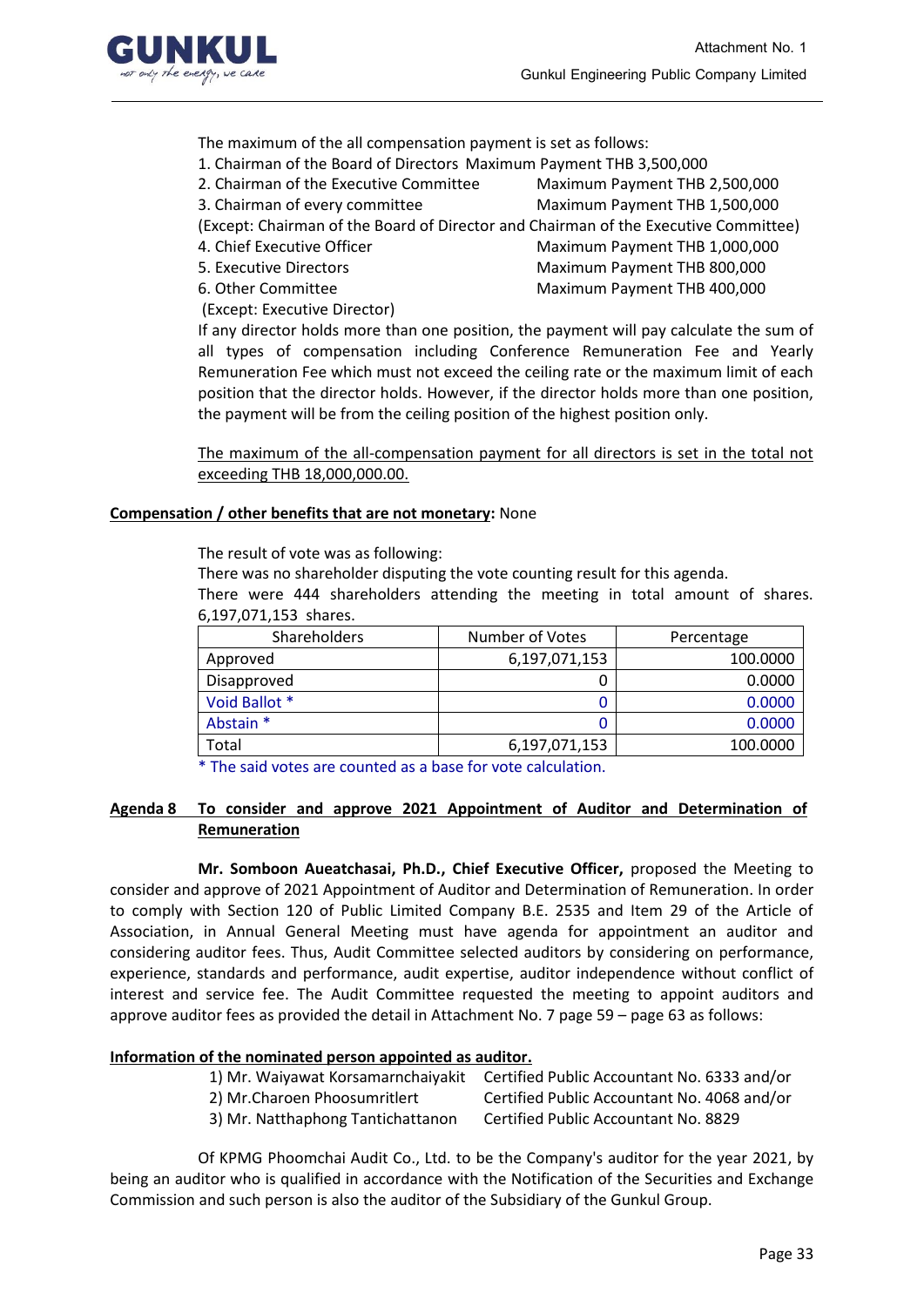

The maximum of the all compensation payment is set as follows:

- 1. Chairman of the Board of Directors Maximum Payment THB 3,500,000
- 2. Chairman of the Executive Committee Maximum Payment THB 2,500,000
- 3. Chairman of every committee Maximum Payment THB 1,500,000
	-
- (Except: Chairman of the Board of Director and Chairman of the Executive Committee)
- 
- 
- 

(Except: Executive Director)

4. Chief Executive Officer Maximum Payment THB 1,000,000 5. Executive Directors Maximum Payment THB 800,000 6. Other Committee Maximum Payment THB 400,000

If any director holds more than one position, the payment will pay calculate the sum of all types of compensation including Conference Remuneration Fee and Yearly Remuneration Fee which must not exceed the ceiling rate or the maximum limit of each position that the director holds. However, if the director holds more than one position, the payment will be from the ceiling position of the highest position only.

The maximum of the all-compensation payment for all directors is set in the total not exceeding THB 18,000,000.00.

## **Compensation / other benefits that are not monetary:** None

The result of vote was as following:

There was no shareholder disputing the vote counting result for this agenda.

There were 444 shareholders attending the meeting in total amount of shares. 6,197,071,153 shares.

| Shareholders  | Number of Votes | Percentage |
|---------------|-----------------|------------|
| Approved      | 6,197,071,153   | 100.0000   |
| Disapproved   |                 | 0.0000     |
| Void Ballot * |                 | 0.0000     |
| Abstain *     |                 | 0.0000     |
| Total         | 6,197,071,153   | 100.0000   |

\* The said votes are counted as a base for vote calculation.

## **Agenda 8 To consider and approve 2021 Appointment of Auditor and Determination of Remuneration**

**Mr. Somboon Aueatchasai, Ph.D., Chief Executive Officer,** proposed the Meeting to consider and approve of 2021 Appointment of Auditor and Determination of Remuneration. In order to comply with Section 120 of Public Limited Company B.E. 2535 and Item 29 of the Article of Association, in Annual General Meeting must have agenda for appointment an auditor and considering auditor fees. Thus, Audit Committee selected auditors by considering on performance, experience, standards and performance, audit expertise, auditor independence without conflict of interest and service fee. The Audit Committee requested the meeting to appoint auditors and approve auditor fees as provided the detail in Attachment No. 7 page 59 – page 63 as follows:

## **Information of the nominated person appointed as auditor.**

| 1) Mr. Waiyawat Korsamarnchaiyakit | Certified Public Accountant No. 6333 and/or |
|------------------------------------|---------------------------------------------|
| 2) Mr.Charoen Phoosumritlert       | Certified Public Accountant No. 4068 and/or |
| 3) Mr. Natthaphong Tantichattanon  | Certified Public Accountant No. 8829        |

Of KPMG Phoomchai Audit Co., Ltd. to be the Company's auditor for the year 2021, by being an auditor who is qualified in accordance with the Notification of the Securities and Exchange Commission and such person is also the auditor of the Subsidiary of the Gunkul Group.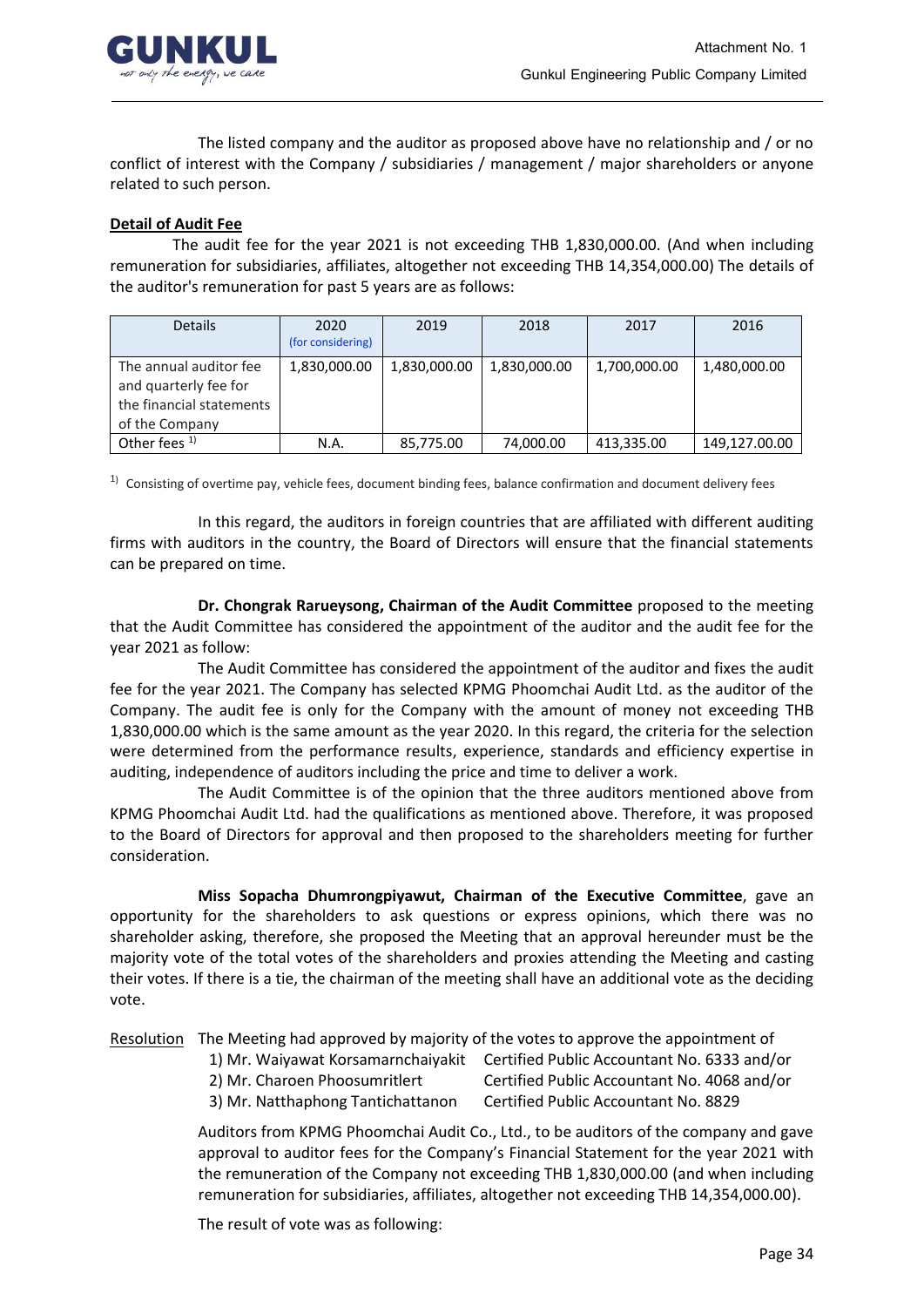

The listed company and the auditor as proposed above have no relationship and / or no conflict of interest with the Company / subsidiaries / management / major shareholders or anyone related to such person.

## **Detail of Audit Fee**

 The audit fee for the year 2021 is not exceeding THB 1,830,000.00. (And when including remuneration for subsidiaries, affiliates, altogether not exceeding THB 14,354,000.00) The details of the auditor's remuneration for past 5 years are as follows:

| <b>Details</b>                                                                                | 2020<br>(for considering) | 2019         | 2018         | 2017         | 2016          |
|-----------------------------------------------------------------------------------------------|---------------------------|--------------|--------------|--------------|---------------|
| The annual auditor fee<br>and quarterly fee for<br>the financial statements<br>of the Company | 1,830,000.00              | 1,830,000.00 | 1,830,000.00 | 1,700,000.00 | 1,480,000.00  |
| Other fees <sup>1)</sup>                                                                      | N.A.                      | 85,775.00    | 74,000.00    | 413,335.00   | 149,127.00.00 |

 $1)$  Consisting of overtime pay, vehicle fees, document binding fees, balance confirmation and document delivery fees

In this regard, the auditors in foreign countries that are affiliated with different auditing firms with auditors in the country, the Board of Directors will ensure that the financial statements can be prepared on time.

**Dr. Chongrak Rarueysong, Chairman of the Audit Committee** proposed to the meeting that the Audit Committee has considered the appointment of the auditor and the audit fee for the year 2021 as follow:

The Audit Committee has considered the appointment of the auditor and fixes the audit fee for the year 2021. The Company has selected KPMG Phoomchai Audit Ltd. as the auditor of the Company. The audit fee is only for the Company with the amount of money not exceeding THB 1,830,000.00 which is the same amount as the year 2020. In this regard, the criteria for the selection were determined from the performance results, experience, standards and efficiency expertise in auditing, independence of auditors including the price and time to deliver a work.

The Audit Committee is of the opinion that the three auditors mentioned above from KPMG Phoomchai Audit Ltd. had the qualifications as mentioned above. Therefore, it was proposed to the Board of Directors for approval and then proposed to the shareholders meeting for further consideration.

**Miss Sopacha Dhumrongpiyawut, Chairman of the Executive Committee**, gave an opportunity for the shareholders to ask questions or express opinions, which there was no shareholder asking, therefore, she proposed the Meeting that an approval hereunder must be the majority vote of the total votes of the shareholders and proxies attending the Meeting and casting their votes. If there is a tie, the chairman of the meeting shall have an additional vote as the deciding vote.

Resolution The Meeting had approved by majority of the votes to approve the appointment of

- 1) Mr. Waiyawat Korsamarnchaiyakit Certified Public Accountant No. 6333 and/or
- 2) Mr. Charoen Phoosumritlert Certified Public Accountant No. 4068 and/or
- 
- 3) Mr. Natthaphong Tantichattanon Certified Public Accountant No. 8829

Auditors from KPMG Phoomchai Audit Co., Ltd., to be auditors of the company and gave approval to auditor fees for the Company's Financial Statement for the year 2021 with the remuneration of the Company not exceeding THB 1,830,000.00 (and when including remuneration for subsidiaries, affiliates, altogether not exceeding THB 14,354,000.00).

The result of vote was as following: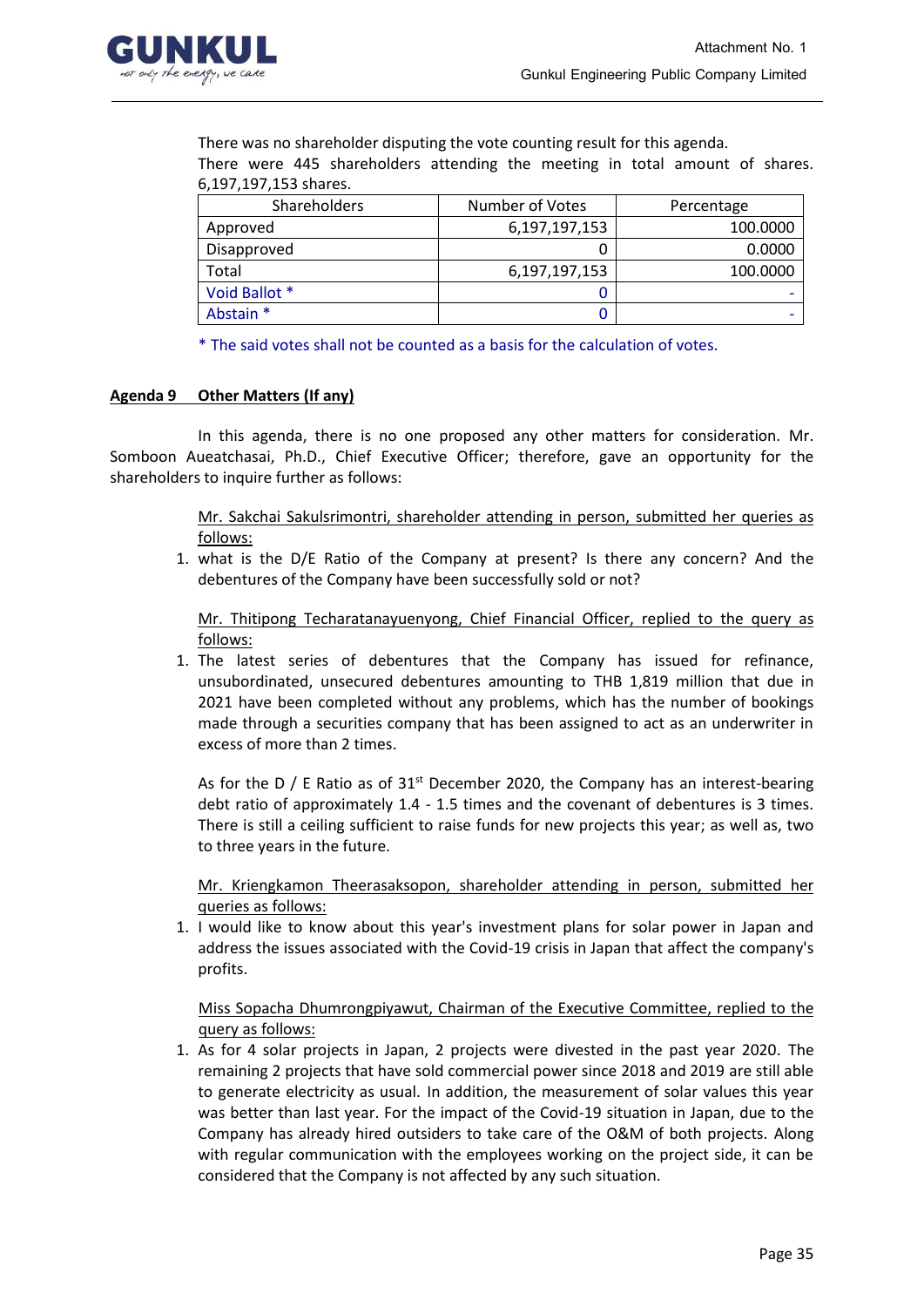

There was no shareholder disputing the vote counting result for this agenda. There were 445 shareholders attending the meeting in total amount of shares. 6,197,197,153 shares.

| Shareholders  | Number of Votes | Percentage |  |
|---------------|-----------------|------------|--|
| Approved      | 6,197,197,153   | 100.0000   |  |
| Disapproved   |                 | 0.0000     |  |
| Total         | 6,197,197,153   | 100.0000   |  |
| Void Ballot * |                 |            |  |
| Abstain *     |                 |            |  |

\* The said votes shall not be counted as a basis for the calculation of votes.

## **Agenda 9 Other Matters (If any)**

In this agenda, there is no one proposed any other matters for consideration. Mr. Somboon Aueatchasai, Ph.D., Chief Executive Officer; therefore, gave an opportunity for the shareholders to inquire further as follows:

> Mr. Sakchai Sakulsrimontri, shareholder attending in person, submitted her queries as follows:

1. what is the D/E Ratio of the Company at present? Is there any concern? And the debentures of the Company have been successfully sold or not?

Mr. Thitipong Techaratanayuenyong, Chief Financial Officer, replied to the query as follows:

1. The latest series of debentures that the Company has issued for refinance, unsubordinated, unsecured debentures amounting to THB 1,819 million that due in 2021 have been completed without any problems, which has the number of bookings made through a securities company that has been assigned to act as an underwriter in excess of more than 2 times.

As for the D / E Ratio as of  $31<sup>st</sup>$  December 2020, the Company has an interest-bearing debt ratio of approximately 1.4 - 1.5 times and the covenant of debentures is 3 times. There is still a ceiling sufficient to raise funds for new projects this year; as well as, two to three years in the future.

Mr. Kriengkamon Theerasaksopon, shareholder attending in person, submitted her queries as follows:

1. I would like to know about this year's investment plans for solar power in Japan and address the issues associated with the Covid-19 crisis in Japan that affect the company's profits.

Miss Sopacha Dhumrongpiyawut, Chairman of the Executive Committee, replied to the query as follows:

1. As for 4 solar projects in Japan, 2 projects were divested in the past year 2020. The remaining 2 projects that have sold commercial power since 2018 and 2019 are still able to generate electricity as usual. In addition, the measurement of solar values this year was better than last year. For the impact of the Covid-19 situation in Japan, due to the Company has already hired outsiders to take care of the O&M of both projects. Along with regular communication with the employees working on the project side, it can be considered that the Company is not affected by any such situation.